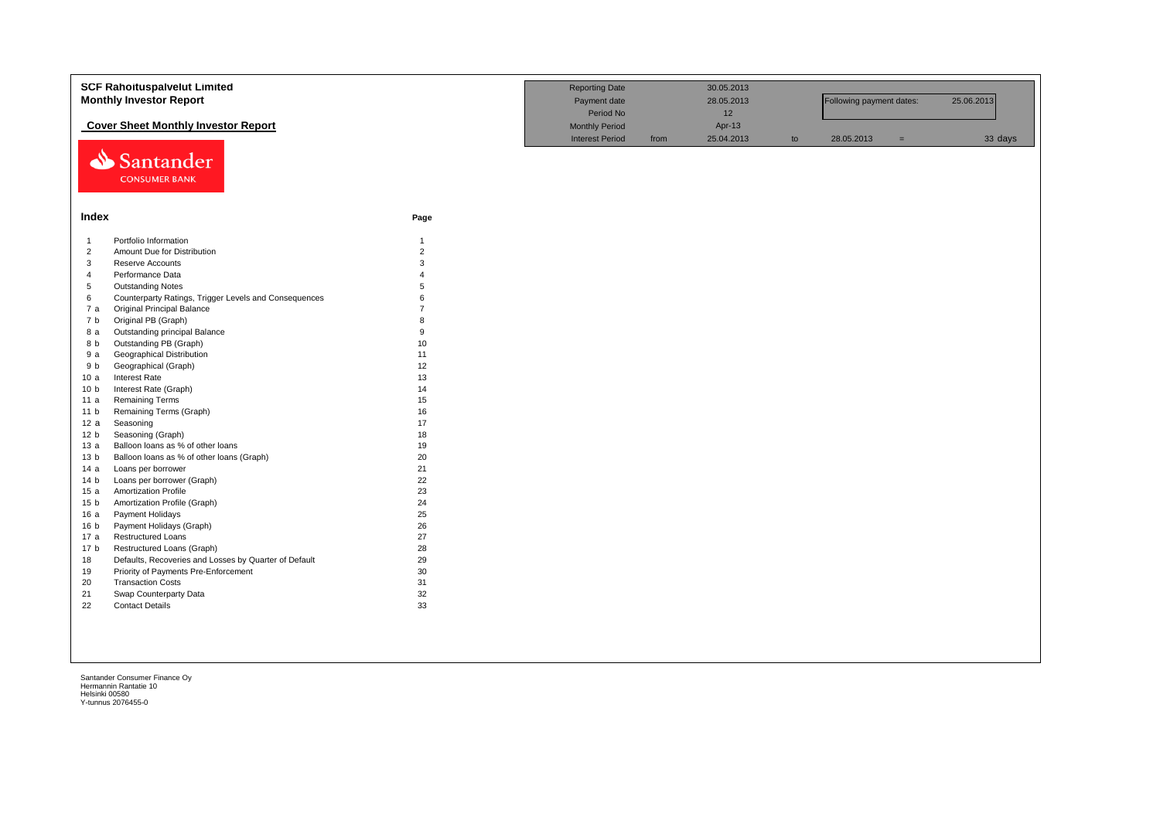|                 | <b>SCF Rahoituspalvelut Limited</b><br><b>Monthly Investor Report</b>           | <b>Reporting Date</b><br>Payment date<br>Period No |                                                 | 30.05.2013<br>28.05.2013<br>12 |                      | Following payment dates: |            | 25.06.2013 |         |
|-----------------|---------------------------------------------------------------------------------|----------------------------------------------------|-------------------------------------------------|--------------------------------|----------------------|--------------------------|------------|------------|---------|
| ⇘               | <b>Cover Sheet Monthly Investor Report</b><br>Santander<br><b>CONSUMER BANK</b> |                                                    | <b>Monthly Period</b><br><b>Interest Period</b> | from                           | Apr-13<br>25.04.2013 | to                       | 28.05.2013 | $=$        | 33 days |
| Index           |                                                                                 | Page                                               |                                                 |                                |                      |                          |            |            |         |
| $\mathbf{1}$    | Portfolio Information                                                           | $\mathbf{1}$                                       |                                                 |                                |                      |                          |            |            |         |
| $\overline{2}$  | Amount Due for Distribution                                                     | $\overline{2}$                                     |                                                 |                                |                      |                          |            |            |         |
| 3               | Reserve Accounts                                                                | $\mathbf{3}$                                       |                                                 |                                |                      |                          |            |            |         |
| $\overline{4}$  | Performance Data                                                                | $\Delta$                                           |                                                 |                                |                      |                          |            |            |         |
| $\sqrt{5}$      | <b>Outstanding Notes</b>                                                        | 5                                                  |                                                 |                                |                      |                          |            |            |         |
| 6               | Counterparty Ratings, Trigger Levels and Consequences                           | 6                                                  |                                                 |                                |                      |                          |            |            |         |
| 7 a             | <b>Original Principal Balance</b>                                               | $\overline{7}$                                     |                                                 |                                |                      |                          |            |            |         |
| 7 b             | Original PB (Graph)                                                             | $\mathsf{R}$                                       |                                                 |                                |                      |                          |            |            |         |
| 8 a             | Outstanding principal Balance                                                   | 9                                                  |                                                 |                                |                      |                          |            |            |         |
| 8 b             | Outstanding PB (Graph)                                                          | 10                                                 |                                                 |                                |                      |                          |            |            |         |
| 9 a             | Geographical Distribution                                                       | 11                                                 |                                                 |                                |                      |                          |            |            |         |
| 9 b             | Geographical (Graph)                                                            | 12                                                 |                                                 |                                |                      |                          |            |            |         |
| 10a             | Interest Rate                                                                   | 13                                                 |                                                 |                                |                      |                          |            |            |         |
| 10 <sub>b</sub> | Interest Rate (Graph)                                                           | 14                                                 |                                                 |                                |                      |                          |            |            |         |
| 11 a            | <b>Remaining Terms</b>                                                          | 15                                                 |                                                 |                                |                      |                          |            |            |         |
| 11 <sub>b</sub> | Remaining Terms (Graph)                                                         | 16                                                 |                                                 |                                |                      |                          |            |            |         |
| 12a             | Seasoning                                                                       | 17                                                 |                                                 |                                |                      |                          |            |            |         |
| 12 <sub>b</sub> | Seasoning (Graph)                                                               | 18                                                 |                                                 |                                |                      |                          |            |            |         |
| 13a             | Balloon loans as % of other loans                                               | 19                                                 |                                                 |                                |                      |                          |            |            |         |
| 13 <sub>b</sub> | Balloon loans as % of other loans (Graph)                                       | 20                                                 |                                                 |                                |                      |                          |            |            |         |
| 14a             | Loans per borrower                                                              | 21                                                 |                                                 |                                |                      |                          |            |            |         |
| 14 <sub>b</sub> | Loans per borrower (Graph)                                                      | 22                                                 |                                                 |                                |                      |                          |            |            |         |
| 15a             | <b>Amortization Profile</b>                                                     | 23                                                 |                                                 |                                |                      |                          |            |            |         |
| 15 <sub>b</sub> | Amortization Profile (Graph)                                                    | 24                                                 |                                                 |                                |                      |                          |            |            |         |
| 16a             | Payment Holidays                                                                | 25                                                 |                                                 |                                |                      |                          |            |            |         |
| 16 <sub>b</sub> | Payment Holidays (Graph)                                                        | 26                                                 |                                                 |                                |                      |                          |            |            |         |
| 17 a            | <b>Restructured Loans</b>                                                       | 27                                                 |                                                 |                                |                      |                          |            |            |         |
| 17 <sub>b</sub> | Restructured Loans (Graph)                                                      | 28                                                 |                                                 |                                |                      |                          |            |            |         |
|                 |                                                                                 |                                                    |                                                 |                                |                      |                          |            |            |         |
| 18              | Defaults, Recoveries and Losses by Quarter of Default                           | 29                                                 |                                                 |                                |                      |                          |            |            |         |
| 19              | Priority of Payments Pre-Enforcement                                            | 30                                                 |                                                 |                                |                      |                          |            |            |         |
| 20              | <b>Transaction Costs</b>                                                        | 31                                                 |                                                 |                                |                      |                          |            |            |         |
| 21              | Swap Counterparty Data                                                          | 32                                                 |                                                 |                                |                      |                          |            |            |         |
| 22              | <b>Contact Details</b>                                                          | 33                                                 |                                                 |                                |                      |                          |            |            |         |
|                 |                                                                                 |                                                    |                                                 |                                |                      |                          |            |            |         |
|                 |                                                                                 |                                                    |                                                 |                                |                      |                          |            |            |         |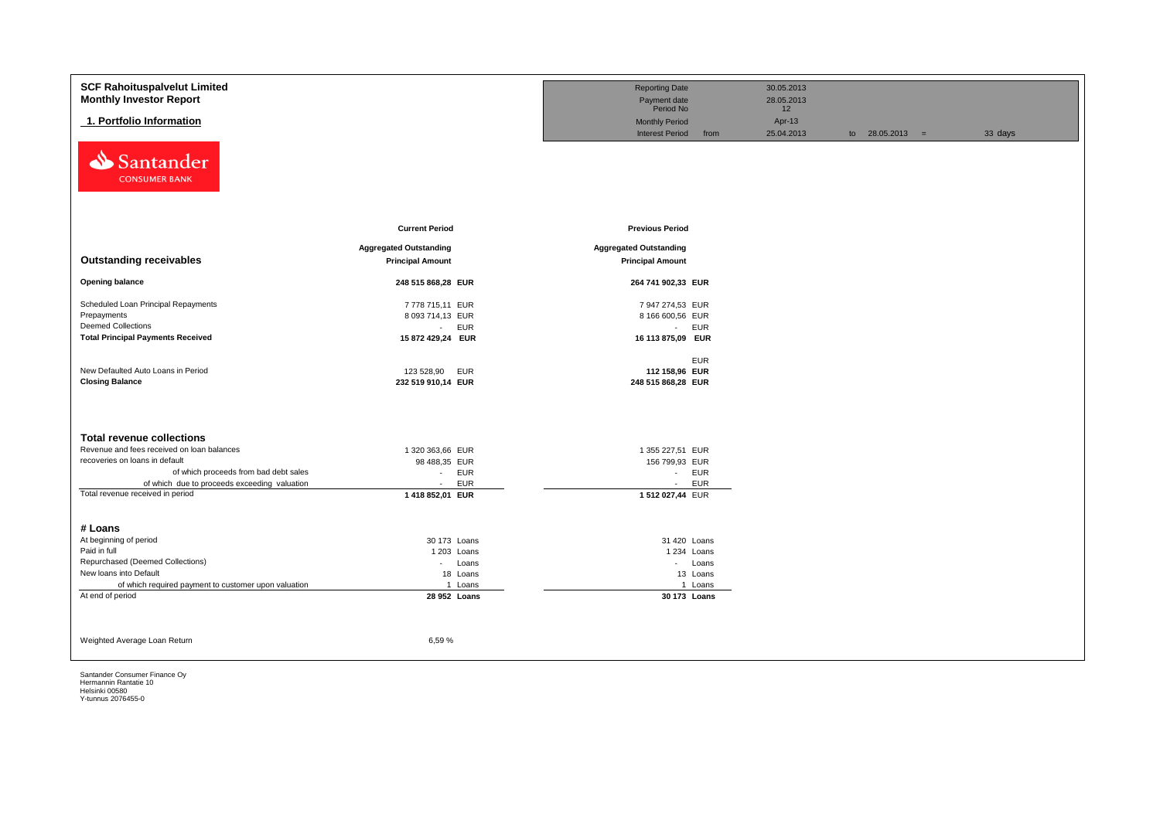| <b>SCF Rahoituspalvelut Limited</b>                                              |                               | <b>Reporting Date</b>         |            | 30.05.2013       |                   |         |
|----------------------------------------------------------------------------------|-------------------------------|-------------------------------|------------|------------------|-------------------|---------|
| <b>Monthly Investor Report</b>                                                   |                               | Payment date<br>Period No     |            | 28.05.2013<br>12 |                   |         |
| 1. Portfolio Information                                                         |                               | <b>Monthly Period</b>         |            | Apr-13           |                   |         |
|                                                                                  |                               | <b>Interest Period</b>        | from       | 25.04.2013       | to $28.05.2013 =$ | 33 days |
| Santander<br>⇘<br><b>CONSUMER BANK</b>                                           |                               |                               |            |                  |                   |         |
|                                                                                  | <b>Current Period</b>         | <b>Previous Period</b>        |            |                  |                   |         |
|                                                                                  | <b>Aggregated Outstanding</b> | <b>Aggregated Outstanding</b> |            |                  |                   |         |
| <b>Outstanding receivables</b>                                                   | <b>Principal Amount</b>       | <b>Principal Amount</b>       |            |                  |                   |         |
| <b>Opening balance</b>                                                           | 248 515 868,28 EUR            | 264 741 902,33 EUR            |            |                  |                   |         |
| Scheduled Loan Principal Repayments                                              | 7778 715,11 EUR               | 7 947 274,53 EUR              |            |                  |                   |         |
| Prepayments                                                                      | 8 093 714,13 EUR              | 8 166 600,56 EUR              |            |                  |                   |         |
| <b>Deemed Collections</b>                                                        | <b>EUR</b><br>$\sim 10$       | - EUR                         |            |                  |                   |         |
| <b>Total Principal Payments Received</b>                                         | 15 872 429,24 EUR             | 16 113 875,09 EUR             |            |                  |                   |         |
|                                                                                  |                               |                               | <b>EUR</b> |                  |                   |         |
| New Defaulted Auto Loans in Period                                               | 123 528,90<br><b>EUR</b>      | 112 158,96 EUR                |            |                  |                   |         |
| <b>Closing Balance</b>                                                           | 232 519 910,14 EUR            | 248 515 868,28 EUR            |            |                  |                   |         |
|                                                                                  |                               |                               |            |                  |                   |         |
|                                                                                  |                               |                               |            |                  |                   |         |
| <b>Total revenue collections</b>                                                 |                               |                               |            |                  |                   |         |
| Revenue and fees received on loan balances                                       | 1 320 363,66 EUR              | 1 355 227,51 EUR              |            |                  |                   |         |
| recoveries on loans in default                                                   | 98 488,35 EUR                 | 156 799,93 EUR                |            |                  |                   |         |
| of which proceeds from bad debt sales                                            | <b>EUR</b><br>$\sim$          | - EUR                         |            |                  |                   |         |
| of which due to proceeds exceeding valuation<br>Total revenue received in period | <b>EUR</b><br>$\sim$          | $\sim$                        | <b>EUR</b> |                  |                   |         |
|                                                                                  | 1 418 852,01 EUR              | 1512027,44 EUR                |            |                  |                   |         |
| # Loans                                                                          |                               |                               |            |                  |                   |         |
| At beginning of period                                                           | 30 173 Loans                  | 31 420 Loans                  |            |                  |                   |         |
| Paid in full                                                                     | 1 203 Loans                   | 1 234 Loans                   |            |                  |                   |         |
| Repurchased (Deemed Collections)                                                 | - Loans                       | - Loans                       |            |                  |                   |         |
| New loans into Default                                                           | 18 Loans                      |                               | 13 Loans   |                  |                   |         |
| of which required payment to customer upon valuation<br>At end of period         | 1 Loans                       |                               | 1 Loans    |                  |                   |         |
|                                                                                  | 28 952 Loans                  | 30 173 Loans                  |            |                  |                   |         |
|                                                                                  |                               |                               |            |                  |                   |         |
| Weighted Average Loan Return                                                     | 6,59%                         |                               |            |                  |                   |         |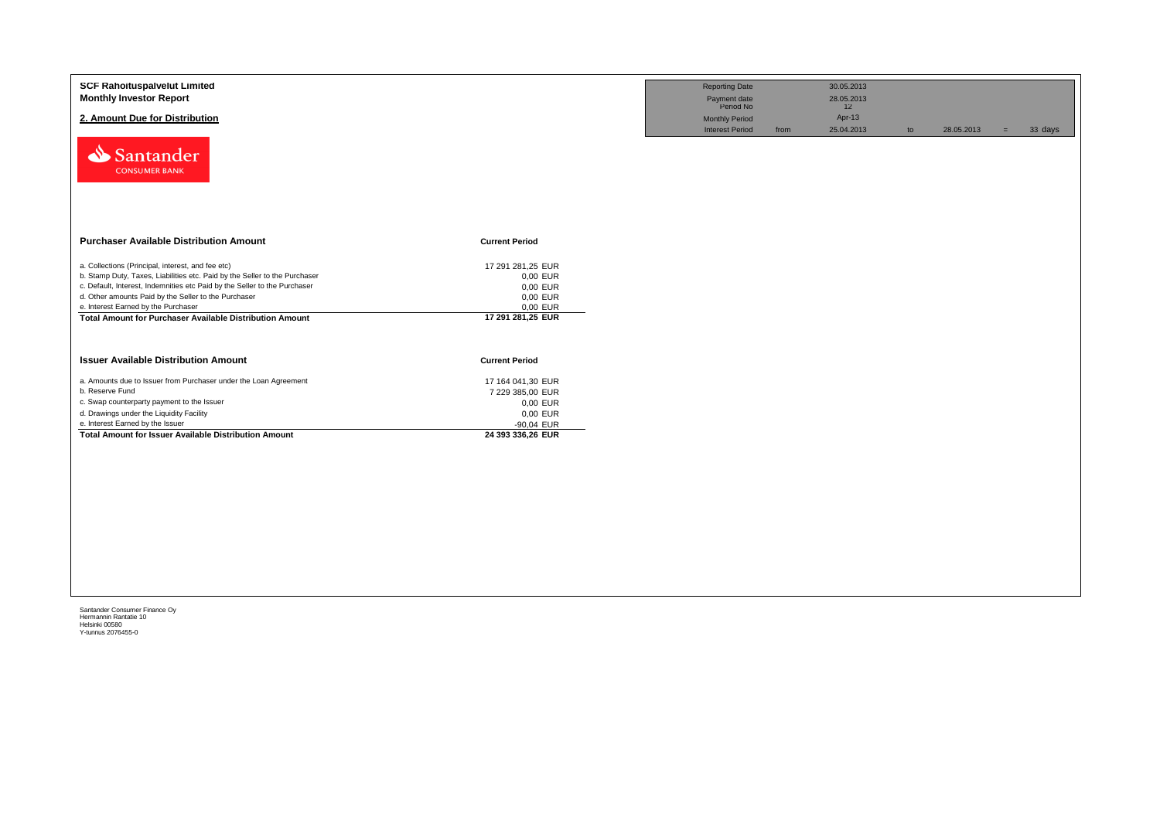| <b>SCF Rahoituspalvelut Limited</b><br><b>Monthly Investor Report</b><br>2. Amount Due for Distribution<br>Santander<br><b>CONSUMER BANK</b>                                                                                                                                                                                                                                   |                                                                                                  | <b>Reporting Date</b><br>Payment date<br>Period No<br><b>Monthly Period</b><br><b>Interest Period</b> | from | 30.05.2013<br>28.05.2013<br>12<br>Apr-13<br>25.04.2013 | to | 28.05.2013 | $=$ | 33 days |
|--------------------------------------------------------------------------------------------------------------------------------------------------------------------------------------------------------------------------------------------------------------------------------------------------------------------------------------------------------------------------------|--------------------------------------------------------------------------------------------------|-------------------------------------------------------------------------------------------------------|------|--------------------------------------------------------|----|------------|-----|---------|
| <b>Purchaser Available Distribution Amount</b>                                                                                                                                                                                                                                                                                                                                 | <b>Current Period</b>                                                                            |                                                                                                       |      |                                                        |    |            |     |         |
| a. Collections (Principal, interest, and fee etc)<br>b. Stamp Duty, Taxes, Liabilities etc. Paid by the Seller to the Purchaser<br>c. Default, Interest, Indemnities etc Paid by the Seller to the Purchaser<br>d. Other amounts Paid by the Seller to the Purchaser<br>e. Interest Earned by the Purchaser<br><b>Total Amount for Purchaser Available Distribution Amount</b> | 17 291 281,25 EUR<br>0,00 EUR<br>0,00 EUR<br>0,00 EUR<br>0,00 EUR<br>17 291 281,25 EUR           |                                                                                                       |      |                                                        |    |            |     |         |
| <b>Issuer Available Distribution Amount</b>                                                                                                                                                                                                                                                                                                                                    | <b>Current Period</b>                                                                            |                                                                                                       |      |                                                        |    |            |     |         |
| a. Amounts due to Issuer from Purchaser under the Loan Agreement<br>b. Reserve Fund<br>c. Swap counterparty payment to the Issuer<br>d. Drawings under the Liquidity Facility<br>e. Interest Earned by the Issuer<br>Total Amount for Issuer Available Distribution Amount                                                                                                     | 17 164 041,30 EUR<br>7 229 385,00 EUR<br>0,00 EUR<br>0,00 EUR<br>-90,04 EUR<br>24 393 336,26 EUR |                                                                                                       |      |                                                        |    |            |     |         |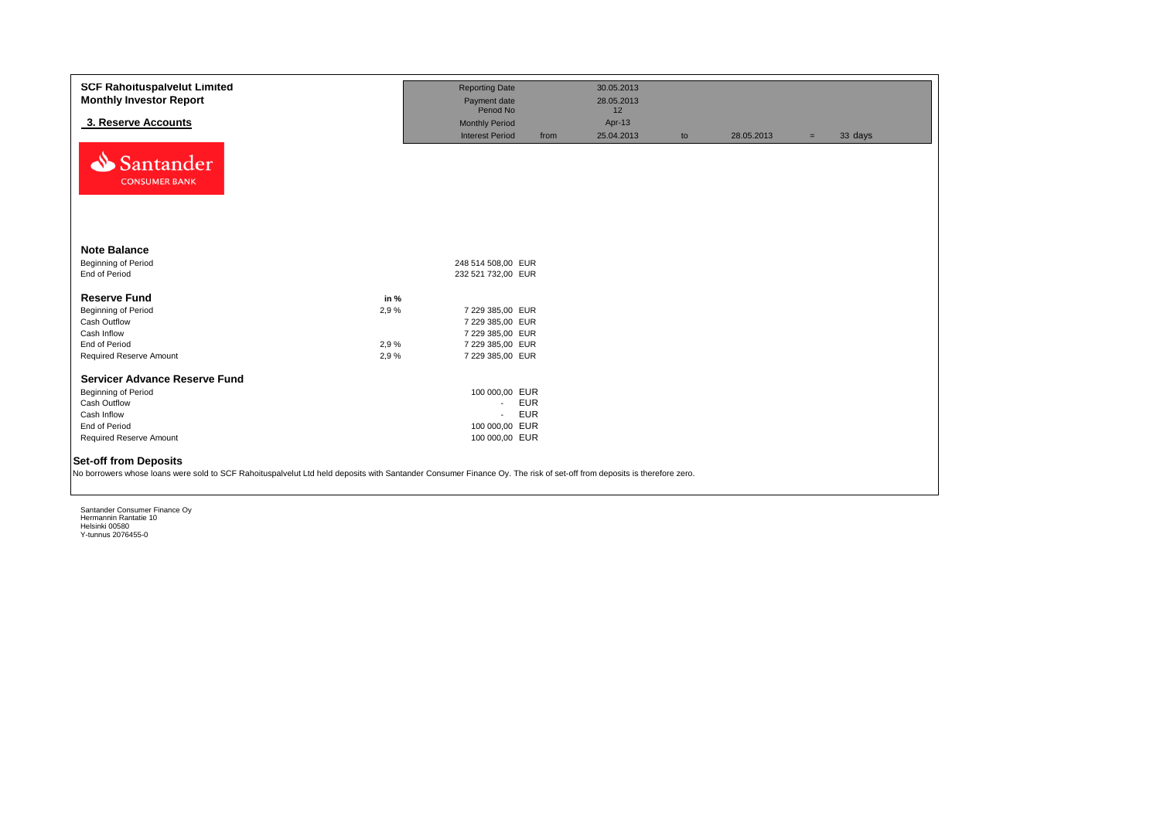| <b>SCF Rahoituspalvelut Limited</b><br><b>Monthly Investor Report</b><br>3. Reserve Accounts<br>Santander                                                             |      | <b>Reporting Date</b><br>Payment date<br>Period No<br><b>Monthly Period</b><br><b>Interest Period</b> | from       | 30.05.2013<br>28.05.2013<br>12<br>Apr-13<br>25.04.2013 | to | 28.05.2013 | $=$ | 33 days |
|-----------------------------------------------------------------------------------------------------------------------------------------------------------------------|------|-------------------------------------------------------------------------------------------------------|------------|--------------------------------------------------------|----|------------|-----|---------|
| <b>CONSUMER BANK</b><br><b>Note Balance</b>                                                                                                                           |      |                                                                                                       |            |                                                        |    |            |     |         |
|                                                                                                                                                                       |      |                                                                                                       |            |                                                        |    |            |     |         |
| <b>Beginning of Period</b><br>End of Period                                                                                                                           |      | 248 514 508,00 EUR<br>232 521 732,00 EUR                                                              |            |                                                        |    |            |     |         |
|                                                                                                                                                                       |      |                                                                                                       |            |                                                        |    |            |     |         |
| <b>Reserve Fund</b>                                                                                                                                                   | in % |                                                                                                       |            |                                                        |    |            |     |         |
| Beginning of Period                                                                                                                                                   | 2,9% | 7 229 385,00 EUR                                                                                      |            |                                                        |    |            |     |         |
| Cash Outflow                                                                                                                                                          |      | 7 229 385,00 EUR                                                                                      |            |                                                        |    |            |     |         |
| Cash Inflow                                                                                                                                                           |      | 7 229 385,00 EUR                                                                                      |            |                                                        |    |            |     |         |
| End of Period                                                                                                                                                         | 2,9% | 7 229 385,00 EUR                                                                                      |            |                                                        |    |            |     |         |
| Required Reserve Amount                                                                                                                                               | 2,9% | 7 229 385,00 EUR                                                                                      |            |                                                        |    |            |     |         |
|                                                                                                                                                                       |      |                                                                                                       |            |                                                        |    |            |     |         |
| Servicer Advance Reserve Fund                                                                                                                                         |      |                                                                                                       |            |                                                        |    |            |     |         |
| Beginning of Period                                                                                                                                                   |      | 100 000,00 EUR                                                                                        |            |                                                        |    |            |     |         |
| Cash Outflow                                                                                                                                                          |      | $\sim$                                                                                                | <b>EUR</b> |                                                        |    |            |     |         |
| Cash Inflow                                                                                                                                                           |      | $\overline{\phantom{a}}$                                                                              | <b>EUR</b> |                                                        |    |            |     |         |
| End of Period                                                                                                                                                         |      | 100 000,00 EUR                                                                                        |            |                                                        |    |            |     |         |
| Required Reserve Amount                                                                                                                                               |      | 100 000,00 EUR                                                                                        |            |                                                        |    |            |     |         |
| <b>Set-off from Deposits</b>                                                                                                                                          |      |                                                                                                       |            |                                                        |    |            |     |         |
|                                                                                                                                                                       |      |                                                                                                       |            |                                                        |    |            |     |         |
| No borrowers whose loans were sold to SCF Rahoituspalvelut Ltd held deposits with Santander Consumer Finance Oy. The risk of set-off from deposits is therefore zero. |      |                                                                                                       |            |                                                        |    |            |     |         |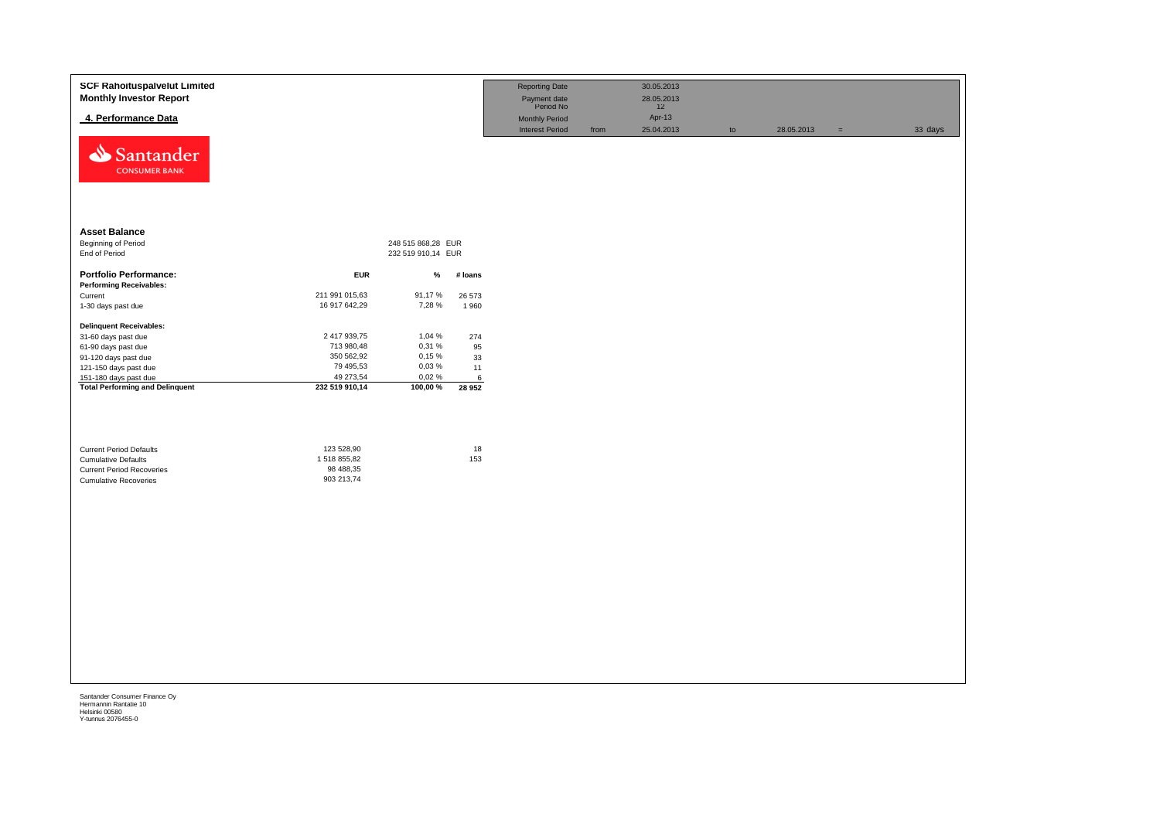| <b>Asset Balance</b><br><b>Beginning of Period</b><br>248 515 868,28 EUR<br>End of Period<br>232 519 910,14 EUR<br><b>Portfolio Performance:</b><br><b>EUR</b><br>%<br># loans<br><b>Performing Receivables:</b><br>211 991 015,63<br>91,17%<br>Current<br>26 573<br>16 917 642,29<br>7,28 %<br>1-30 days past due<br>1960<br><b>Delinquent Receivables:</b><br>2 417 939,75<br>1,04 %<br>274<br>31-60 days past due<br>713 980,48<br>0,31 %<br>95<br>61-90 days past due<br>350 562,92<br>0,15%<br>91-120 days past due<br>33<br>79 495,53<br>0,03%<br>121-150 days past due<br>11<br>49 273,54<br>151-180 days past due<br>0,02%<br>6<br><b>Total Performing and Delinquent</b><br>232 519 910,14<br>100,00 %<br>28 952<br>123 528,90<br>18<br><b>Current Period Defaults</b> |  |
|---------------------------------------------------------------------------------------------------------------------------------------------------------------------------------------------------------------------------------------------------------------------------------------------------------------------------------------------------------------------------------------------------------------------------------------------------------------------------------------------------------------------------------------------------------------------------------------------------------------------------------------------------------------------------------------------------------------------------------------------------------------------------------|--|
|                                                                                                                                                                                                                                                                                                                                                                                                                                                                                                                                                                                                                                                                                                                                                                                 |  |
|                                                                                                                                                                                                                                                                                                                                                                                                                                                                                                                                                                                                                                                                                                                                                                                 |  |
|                                                                                                                                                                                                                                                                                                                                                                                                                                                                                                                                                                                                                                                                                                                                                                                 |  |
|                                                                                                                                                                                                                                                                                                                                                                                                                                                                                                                                                                                                                                                                                                                                                                                 |  |
|                                                                                                                                                                                                                                                                                                                                                                                                                                                                                                                                                                                                                                                                                                                                                                                 |  |
|                                                                                                                                                                                                                                                                                                                                                                                                                                                                                                                                                                                                                                                                                                                                                                                 |  |
|                                                                                                                                                                                                                                                                                                                                                                                                                                                                                                                                                                                                                                                                                                                                                                                 |  |
|                                                                                                                                                                                                                                                                                                                                                                                                                                                                                                                                                                                                                                                                                                                                                                                 |  |
|                                                                                                                                                                                                                                                                                                                                                                                                                                                                                                                                                                                                                                                                                                                                                                                 |  |
|                                                                                                                                                                                                                                                                                                                                                                                                                                                                                                                                                                                                                                                                                                                                                                                 |  |
|                                                                                                                                                                                                                                                                                                                                                                                                                                                                                                                                                                                                                                                                                                                                                                                 |  |
| 153<br>1518855,82<br><b>Cumulative Defaults</b><br>98 488,35<br><b>Current Period Recoveries</b><br>903 213,74<br><b>Cumulative Recoveries</b>                                                                                                                                                                                                                                                                                                                                                                                                                                                                                                                                                                                                                                  |  |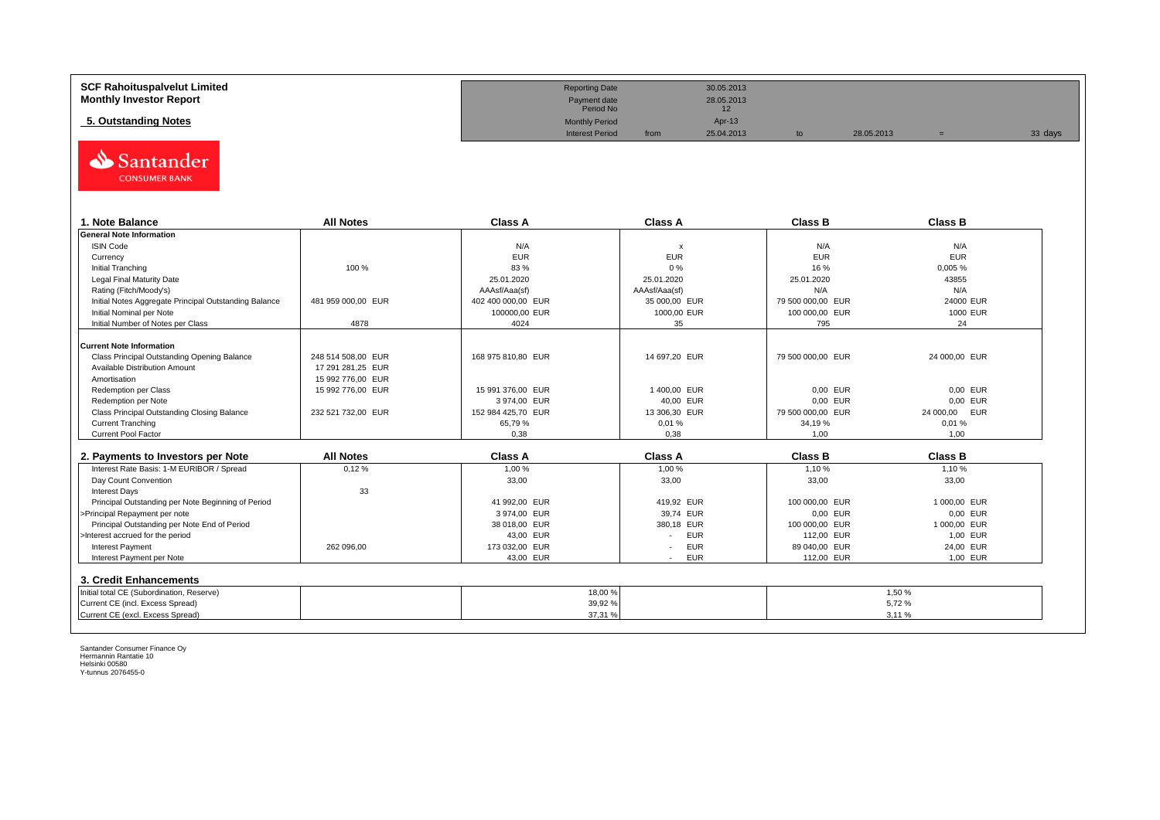| <b>SCF Rahoituspalvelut Limited</b> | <b>Reporting Date</b>     |      | 30.05.2013 |            |         |
|-------------------------------------|---------------------------|------|------------|------------|---------|
| <b>Monthly Investor Report</b>      | Payment date<br>Period No |      | 28.05.2013 |            |         |
| 5. Outstanding Notes                | <b>Monthly Period</b>     |      | Apr-13     |            |         |
|                                     | <b>Interest Period</b>    | from | 25.04.2013 | 28.05.2013 | 33 days |



| . Note Balance                                        | <b>All Notes</b>   | <b>Class A</b>     | <b>Class A</b>            | <b>Class B</b>    | <b>Class B</b> |
|-------------------------------------------------------|--------------------|--------------------|---------------------------|-------------------|----------------|
| <b>General Note Information</b>                       |                    |                    |                           |                   |                |
| <b>ISIN Code</b>                                      |                    | N/A                | $\boldsymbol{\mathsf{x}}$ | N/A               | N/A            |
| Currency                                              |                    | <b>EUR</b>         | <b>EUR</b>                | <b>EUR</b>        | <b>EUR</b>     |
| Initial Tranching                                     | 100 %              | 83 %               | 0%                        | 16 %              | 0,005%         |
| Legal Final Maturity Date                             |                    | 25.01.2020         | 25.01.2020                | 25.01.2020        | 43855          |
| Rating (Fitch/Moody's)                                |                    | AAAsf/Aaa(sf)      | AAAsf/Aaa(sf)             | N/A               | N/A            |
| Initial Notes Aggregate Principal Outstanding Balance | 481 959 000.00 EUR | 402 400 000.00 EUR | 35 000.00 EUR             | 79 500 000.00 EUR | 24000 EUR      |
| Initial Nominal per Note                              |                    | 100000,00 EUR      | 1000,00 EUR               | 100 000,00 EUR    | 1000 EUR       |
| Initial Number of Notes per Class                     | 4878               | 4024               | 35                        | 795               | 24             |
|                                                       |                    |                    |                           |                   |                |
| <b>Current Note Information</b>                       |                    |                    |                           |                   |                |
| Class Principal Outstanding Opening Balance           | 248 514 508.00 EUR | 168 975 810,80 EUR | 14 697,20 EUR             | 79 500 000,00 EUR | 24 000,00 EUR  |
| Available Distribution Amount                         | 17 291 281.25 EUR  |                    |                           |                   |                |
| Amortisation                                          | 15 992 776.00 EUR  |                    |                           |                   |                |
| Redemption per Class                                  | 15 992 776,00 EUR  | 15 991 376,00 EUR  | 1400,00 EUR               | 0,00 EUR          | 0.00 EUR       |
| Redemption per Note                                   |                    | 3974,00 EUR        | 40,00 EUR                 | 0,00 EUR          | 0.00 EUR       |
| Class Principal Outstanding Closing Balance           | 232 521 732,00 EUR | 152 984 425,70 EUR | 13 306,30 EUR             | 79 500 000,00 EUR | 24 000,00 EUR  |
| <b>Current Tranching</b>                              |                    | 65.79%             | 0,01%                     | 34,19 %           | 0.01%          |
| <b>Current Pool Factor</b>                            |                    | 0.38               | 0.38                      | 1.00              | 1.00           |

| 2. Payments to Investors per Note                  | <b>All Notes</b> | <b>Class A</b> | <b>Class A</b>                         | <b>Class B</b> | <b>Class B</b> |
|----------------------------------------------------|------------------|----------------|----------------------------------------|----------------|----------------|
| Interest Rate Basis: 1-M EURIBOR / Spread          | 0,12%            | 1,00 %         | 1.00 %                                 | 1.10%          | 1,10 %         |
| Day Count Convention                               |                  | 33,00          | 33,00                                  | 33,00          | 33,00          |
| <b>Interest Days</b>                               | 33               |                |                                        |                |                |
| Principal Outstanding per Note Beginning of Period |                  | 41 992.00 EUR  | 419.92 EUR                             | 100 000,00 EUR | 1 000.00 EUR   |
| >Principal Repayment per note                      |                  | 3974.00 EUR    | 39.74 EUR                              | 0.00 EUR       | 0.00 EUR       |
| Principal Outstanding per Note End of Period       |                  | 38 018,00 EUR  | 380.18 EUR                             | 100 000,00 EUR | 1 000.00 EUR   |
| >Interest accrued for the period                   |                  | 43.00 EUR      | <b>EUR</b>                             | 112.00 EUR     | 1.00 EUR       |
| <b>Interest Payment</b>                            | 262 096.00       | 173 032.00 EUR | <b>EUR</b><br>$\overline{\phantom{a}}$ | 89 040.00 EUR  | 24.00 EUR      |
| Interest Payment per Note                          |                  | 43,00 EUR      | <b>EUR</b>                             | 112.00 EUR     | 1,00 EUR       |
| 3. Credit Enhancements                             |                  |                |                                        |                |                |
| Initial total CE (Subordination, Reserve)          |                  | 18,00 %        |                                        |                | 1,50%          |
| Current CE (incl. Excess Spread)                   |                  | 39,92 %        |                                        |                | 5.72%          |
| Current CE (excl. Excess Spread)                   |                  | 37,31 %        |                                        |                | 3,11%          |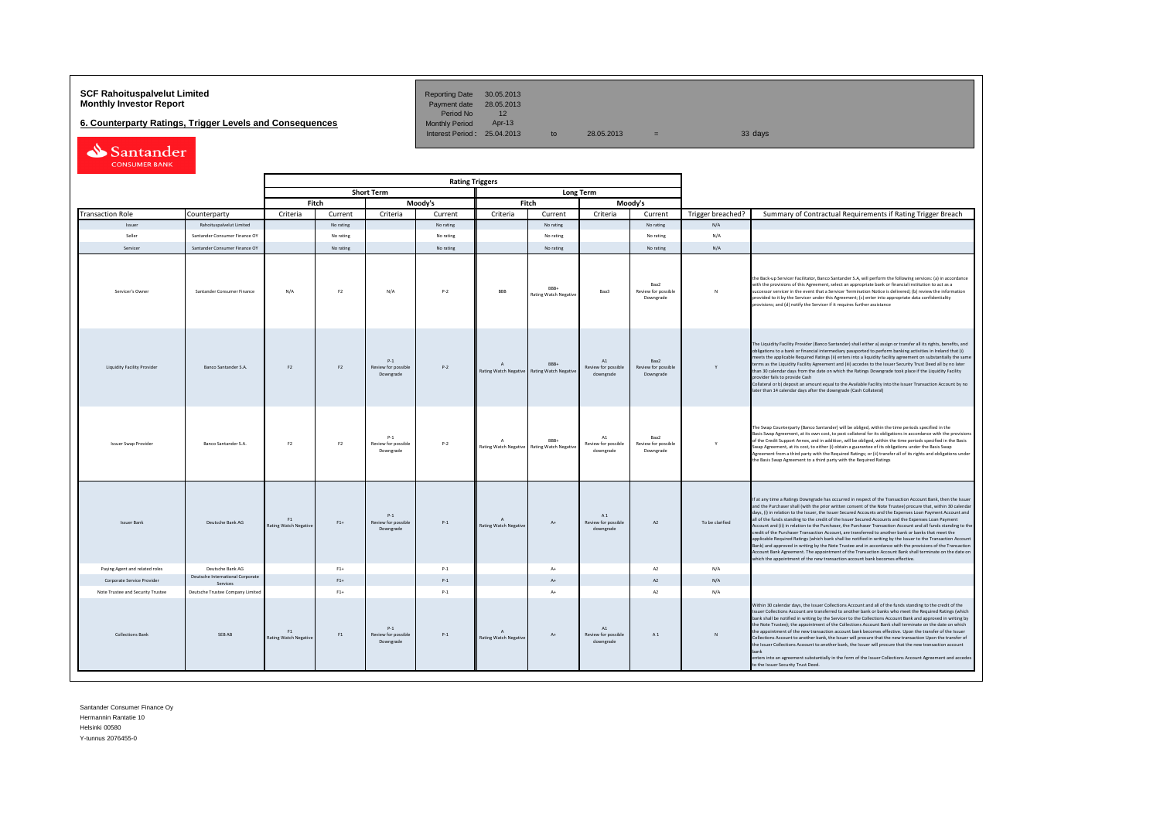# **SCF Rahoituspalvelut Limited Reporting Date 30.05.2013**<br>**Monthly Investor Report** Payment date 28.05.2013

**6. Counterparty Ratings, Trigger Levels and Consequences** 

Period No 12<br>Monthly Period Apr-13 Interest Period:  $25.04.2013$  to  $28.05.2013$  =

| Santander            |
|----------------------|
| <b>CONSUMER BANK</b> |

| <b>Rating Triggers</b> |                                   |                                              |                                    |                |                                              |           |                                                |                                      |                                                 |                                          |                   |                                                                                                                                                                                                                                                                                                                                                                                                                                                                                                                                                                                                                                                                                                                                                                                                                                                                                                                                                                                                                                                                                                      |
|------------------------|-----------------------------------|----------------------------------------------|------------------------------------|----------------|----------------------------------------------|-----------|------------------------------------------------|--------------------------------------|-------------------------------------------------|------------------------------------------|-------------------|------------------------------------------------------------------------------------------------------------------------------------------------------------------------------------------------------------------------------------------------------------------------------------------------------------------------------------------------------------------------------------------------------------------------------------------------------------------------------------------------------------------------------------------------------------------------------------------------------------------------------------------------------------------------------------------------------------------------------------------------------------------------------------------------------------------------------------------------------------------------------------------------------------------------------------------------------------------------------------------------------------------------------------------------------------------------------------------------------|
|                        |                                   |                                              |                                    |                | <b>Short Term</b>                            |           |                                                |                                      | <b>Long Term</b>                                |                                          |                   |                                                                                                                                                                                                                                                                                                                                                                                                                                                                                                                                                                                                                                                                                                                                                                                                                                                                                                                                                                                                                                                                                                      |
|                        |                                   |                                              |                                    | Fitch          |                                              | Moody's   |                                                | Fitch                                |                                                 | Moody's                                  |                   |                                                                                                                                                                                                                                                                                                                                                                                                                                                                                                                                                                                                                                                                                                                                                                                                                                                                                                                                                                                                                                                                                                      |
|                        | <b>Transaction Role</b>           | Counterparty                                 | Criteria                           | Current        | Criteria                                     | Current   | Criteria                                       | Current                              | Criteria                                        | Current                                  | Trigger breached? | Summary of Contractual Requirements if Rating Trigger Breach                                                                                                                                                                                                                                                                                                                                                                                                                                                                                                                                                                                                                                                                                                                                                                                                                                                                                                                                                                                                                                         |
|                        | Issuer                            | Rahoituspalvelut Limited                     |                                    | No rating      |                                              | No rating |                                                | No rating                            |                                                 | No rating                                | N/A               |                                                                                                                                                                                                                                                                                                                                                                                                                                                                                                                                                                                                                                                                                                                                                                                                                                                                                                                                                                                                                                                                                                      |
|                        | Seller                            | Santander Consumer Finance OY                |                                    | No rating      |                                              | No rating |                                                | No rating                            |                                                 | No rating                                | N/A               |                                                                                                                                                                                                                                                                                                                                                                                                                                                                                                                                                                                                                                                                                                                                                                                                                                                                                                                                                                                                                                                                                                      |
|                        | Servicer                          | Santander Consumer Finance OY                |                                    | No rating      |                                              | No rating |                                                | No rating                            |                                                 | No rating                                | N/A               |                                                                                                                                                                                                                                                                                                                                                                                                                                                                                                                                                                                                                                                                                                                                                                                                                                                                                                                                                                                                                                                                                                      |
|                        | Servicer's Owner                  | Santander Consumer Finance                   | N/A                                | F <sub>2</sub> | N/A                                          | $P-2$     | <b>BBB</b>                                     | RRR-<br><b>Rating Watch Negative</b> | Baa3                                            | Baa2<br>Review for possible<br>Downgrade | $\mathbb{N}$      | the Back-up Servicer Facilitator, Banco Santander S.A, will perform the following services: (a) in accordance<br>with the provisions of this Agreement, select an appropriate bank or financial institution to act as a<br>successor servicer in the event that a Servicer Termination Notice is delivered; (b) review the information<br>provided to it by the Servicer under this Agreement; (c) enter into appropriate data confidentiality<br>provisions; and (d) notify the Servicer if it requires further assistance                                                                                                                                                                                                                                                                                                                                                                                                                                                                                                                                                                          |
|                        | Liquidity Facility Provider       | <b>Banco Santander S.A.</b>                  | F <sub>2</sub>                     | F2             | $P-1$<br>Review for possible<br>Downgrade    | $P-2$     | $\overline{A}$<br><b>Rating Watch Negative</b> | RRR+<br><b>Rating Watch Negativ</b>  | A1<br>Review for possible<br>downgrade          | Baa2<br>Review for possible<br>Downgrade | Y                 | The Liquidity Facility Provider (Banco Santander) shall either a) assign or transfer all its rights, benefits, and<br>obligations to a bank or financial intermediary passported to perform banking activities in Ireland that (i)<br>meets the applicable Required Ratings (ii) enters into a liquidity facility agreement on substantially the same<br>terms as the Liquidity Facility Agreement and (iii) accedes to the Issuer Security Trust Deed all by no later<br>than 30 calendar days from the date on which the Ratings Downgrade took place if the Liquidity Facility<br>provider fails to provide Cash<br>Collateral or b) deposit an amount equal to the Available Facility into the Issuer Transaction Account by no<br>later than 14 calendar days after the downgrade (Cash Collateral)                                                                                                                                                                                                                                                                                             |
|                        | <b>Issuer Swap Provider</b>       | Banco Santander S.A.                         | F <sub>2</sub>                     | F <sub>2</sub> | $p_{-1}$<br>Review for possible<br>Downgrade | $P-2$     | $\Delta$<br>Rating Watch Negative              | RRR+<br><b>Rating Watch Negative</b> | $\Lambda$ 1<br>Review for possible<br>downgrade | Raa2<br>Review for possible<br>Downgrade | Y                 | The Swap Counterparty (Banco Santander) will be obliged, within the time periods specified in the<br>Basis Swap Agreement, at its own cost, to post collateral for its obligations in accordance with the provisions<br>of the Credit Support Annex, and in addition, will be obliged, within the time periods specified in the Basis<br>Swap Agreement, at its cost, to either (i) obtain a guarantee of its obligations under the Basis Swap<br>Agreement from a third party with the Required Ratings; or (ii) transfer all of its rights and obligations under<br>the Basis Swap Agreement to a third party with the Required Ratings                                                                                                                                                                                                                                                                                                                                                                                                                                                            |
|                        | <b>Issuer Bank</b>                | Deutsche Bank AG                             | F1<br><b>Rating Watch Negative</b> | $F1+$          | $P-1$<br>Review for possible<br>Downgrade    | $P-1$     | $\Lambda$<br>Rating Watch Negative             | $A+$                                 | A1<br>Review for possible<br>downgrade          | A2                                       | To be clarified   | If at any time a Ratings Downgrade has occurred in respect of the Transaction Account Bank, then the Issuer<br>and the Purchaser shall (with the prior written consent of the Note Trustee) procure that, within 30 calendar<br>days, (i) in relation to the Issuer, the Issuer Secured Accounts and the Expenses Loan Payment Account and<br>all of the funds standing to the credit of the Issuer Secured Accounts and the Expenses Loan Payment<br>Account and (ii) in relation to the Purchaser, the Purchaser Transaction Account and all funds standing to the<br>credit of the Purchaser Transaction Account, are transferred to another bank or banks that meet the<br>applicable Required Ratings (which bank shall be notified in writing by the Issuer to the Transaction Account<br>Bank) and approved in writing by the Note Trustee and in accordance with the provisions of the Transaction<br>Account Bank Agreement. The appointment of the Transaction Account Bank shall terminate on the date on<br>which the appointment of the new transaction account bank becomes effective. |
|                        | Paying Agent and related roles    | Deutsche Bank AG                             |                                    | $F1+$          |                                              | $P-1$     |                                                | $A+$                                 |                                                 | A2                                       | N/A               |                                                                                                                                                                                                                                                                                                                                                                                                                                                                                                                                                                                                                                                                                                                                                                                                                                                                                                                                                                                                                                                                                                      |
|                        | Corporate Service Provider        | Deutsche International Corporate<br>Services |                                    | $F1+$          |                                              | $P-1$     |                                                | $\Lambda$                            |                                                 | A2                                       | N/A               |                                                                                                                                                                                                                                                                                                                                                                                                                                                                                                                                                                                                                                                                                                                                                                                                                                                                                                                                                                                                                                                                                                      |
|                        | Note Trustee and Security Trustee | Deutsche Trustee Company Limited             |                                    | $F1+$          |                                              | $P-1$     |                                                | $A+$                                 |                                                 | A2                                       | N/A               |                                                                                                                                                                                                                                                                                                                                                                                                                                                                                                                                                                                                                                                                                                                                                                                                                                                                                                                                                                                                                                                                                                      |
|                        | <b>Collections Bank</b>           | SEB AB                                       | F1<br><b>Rating Watch Negative</b> | F1             | $P-1$<br>Review for possible<br>Downgrade    | $P-1$     | $\Lambda$<br><b>Rating Watch Negative</b>      | At                                   | A1<br>Review for possible<br>downgrade          | A1                                       | $\mathbf{N}$      | Within 30 calendar days, the Issuer Collections Account and all of the funds standing to the credit of the<br>Issuer Collections Account are transferred to another bank or banks who meet the Required Ratings (which<br>bank shall be notified in writing by the Servicer to the Collections Account Bank and approved in writing by<br>the Note Trustee): the appointment of the Collections Account Bank shall terminate on the date on which<br>the appointment of the new transaction account bank becomes effective. Upon the transfer of the Issuer<br>Collections Account to another bank, the Issuer will procure that the new transaction Upon the transfer of<br>the Issuer Collections Acoount to another bank, the Issuer will procure that the new transaction account<br>bank<br>enters into an agreement substantially in the form of the Issuer Collections Account Agreement and accedes<br>to the Issuer Security Trust Deed.                                                                                                                                                    |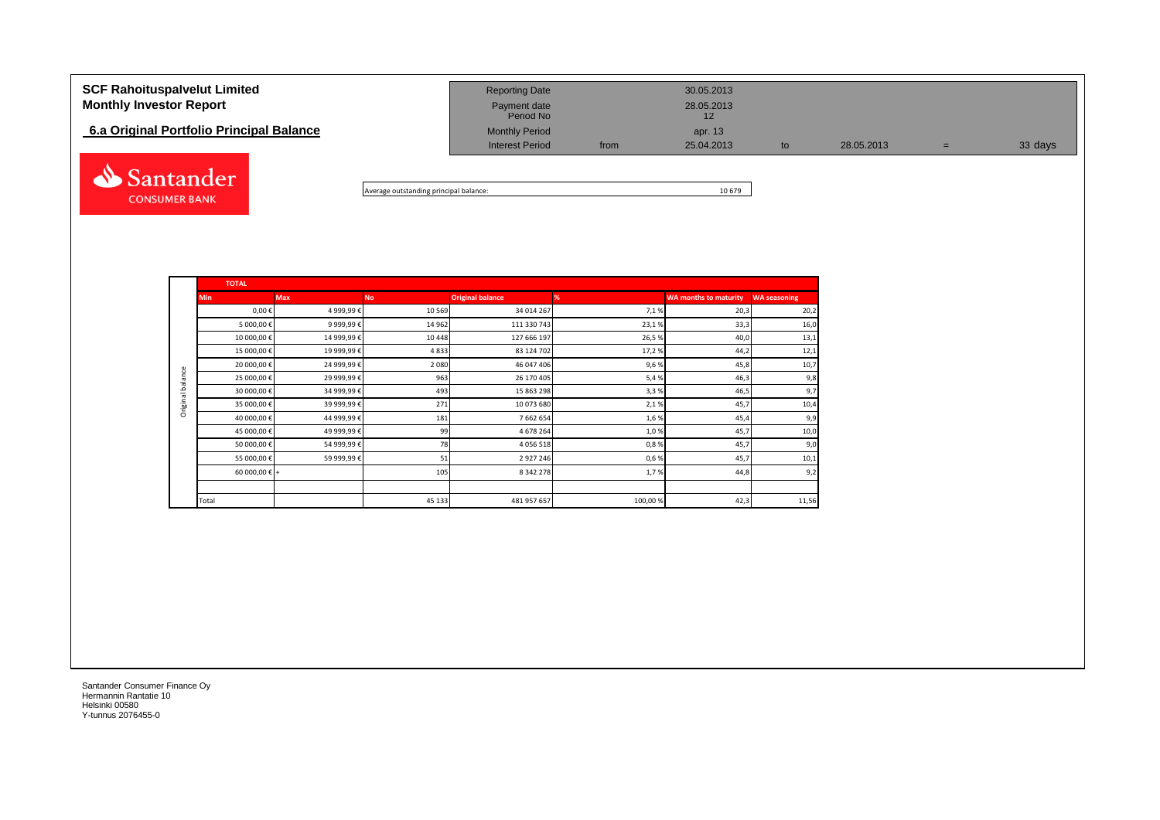| <b>SCF Rahoituspalvelut Limited</b><br><b>Monthly Investor Report</b><br>6.a Original Portfolio Principal Balance | <b>Reporting Date</b><br>Payment date<br>Period No<br><b>Monthly Period</b><br><b>Interest Period</b> | from | 30.05.2013<br>28.05.2013<br>12<br>apr. 13<br>25.04.2013 | to | 28.05.2013 | $=$ | 33 days |
|-------------------------------------------------------------------------------------------------------------------|-------------------------------------------------------------------------------------------------------|------|---------------------------------------------------------|----|------------|-----|---------|
| Santander                                                                                                         |                                                                                                       |      |                                                         |    |            |     |         |

Average outstanding principal balance: 10 679

|                  | <b>TOTAL</b>  |            |           |                         |         |                              |                     |  |  |  |  |  |  |
|------------------|---------------|------------|-----------|-------------------------|---------|------------------------------|---------------------|--|--|--|--|--|--|
|                  | <b>Min</b>    | <b>Max</b> | <b>No</b> | <b>Original balance</b> | %       | <b>WA months to maturity</b> | <b>WA seasoning</b> |  |  |  |  |  |  |
|                  | $0,00 \in$    | 4 999,99€  | 10 5 69   | 34 014 267              | 7,1%    | 20,3                         | 20,2                |  |  |  |  |  |  |
|                  | 5 000,00 €    | 9 999,99€  | 14 962    | 111 330 743             | 23,1%   | 33,3                         | 16,0                |  |  |  |  |  |  |
|                  | 10 000,00€    | 14 999,99€ | 10 4 48   | 127 666 197             | 26,5%   | 40,0                         | 13,1                |  |  |  |  |  |  |
|                  | 15 000,00 €   | 19 999,99€ | 4833      | 83 124 702              | 17,2%   | 44,2                         | 12,1                |  |  |  |  |  |  |
|                  | 20 000,00 €   | 24 999,99€ | 2 0 8 0   | 46 047 406              | 9,6%    | 45,8                         | 10,7                |  |  |  |  |  |  |
| Original balance | 25 000,00€    | 29 999,99€ | 963       | 26 170 405              | 5,4%    | 46,3                         | 9,8                 |  |  |  |  |  |  |
|                  | 30 000,00 €   | 34 999,99€ | 493       | 15 863 298              | 3,3%    | 46,5                         | 9,7                 |  |  |  |  |  |  |
|                  | 35 000,00 €   | 39 999,99€ | 271       | 10 073 680              | 2,1%    | 45,7                         | 10,4                |  |  |  |  |  |  |
|                  | 40 000,00 €   | 44 999,99€ | 181       | 7 662 654               | 1,6%    | 45,4                         | 9,9                 |  |  |  |  |  |  |
|                  | 45 000,00 €   | 49 999,99€ | 99        | 4 678 264               | 1,0%    | 45,7                         | 10,0                |  |  |  |  |  |  |
|                  | 50 000,00 €   | 54 999,99€ | 78        | 4 0 5 6 5 1 8           | 0,8%    | 45,7                         | 9,0                 |  |  |  |  |  |  |
|                  | 55 000,00 €   | 59 999,99€ | 51        | 2927246                 | 0,6%    | 45,7                         | 10,1                |  |  |  |  |  |  |
|                  | 60 000,00 € + |            | 105       | 8 342 278               | 1,7%    | 44,8                         | 9,2                 |  |  |  |  |  |  |
|                  |               |            |           |                         |         |                              |                     |  |  |  |  |  |  |
|                  | Total         |            | 45 133    | 481 957 657             | 100,00% | 42,3                         | 11,56               |  |  |  |  |  |  |

Santander Consumer Finance Oy Hermannin Rantatie 10 Helsinki 00580 Y-tunnus 2076455-0

**CONSUMER BANK**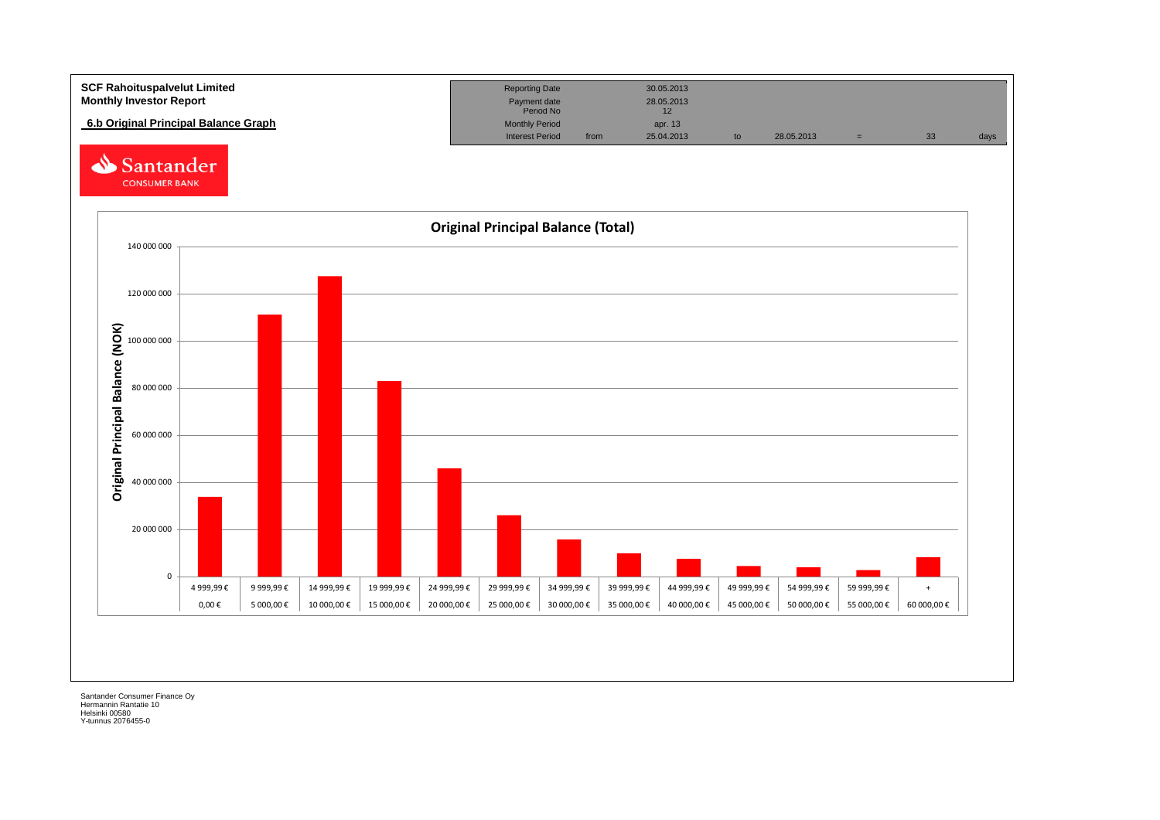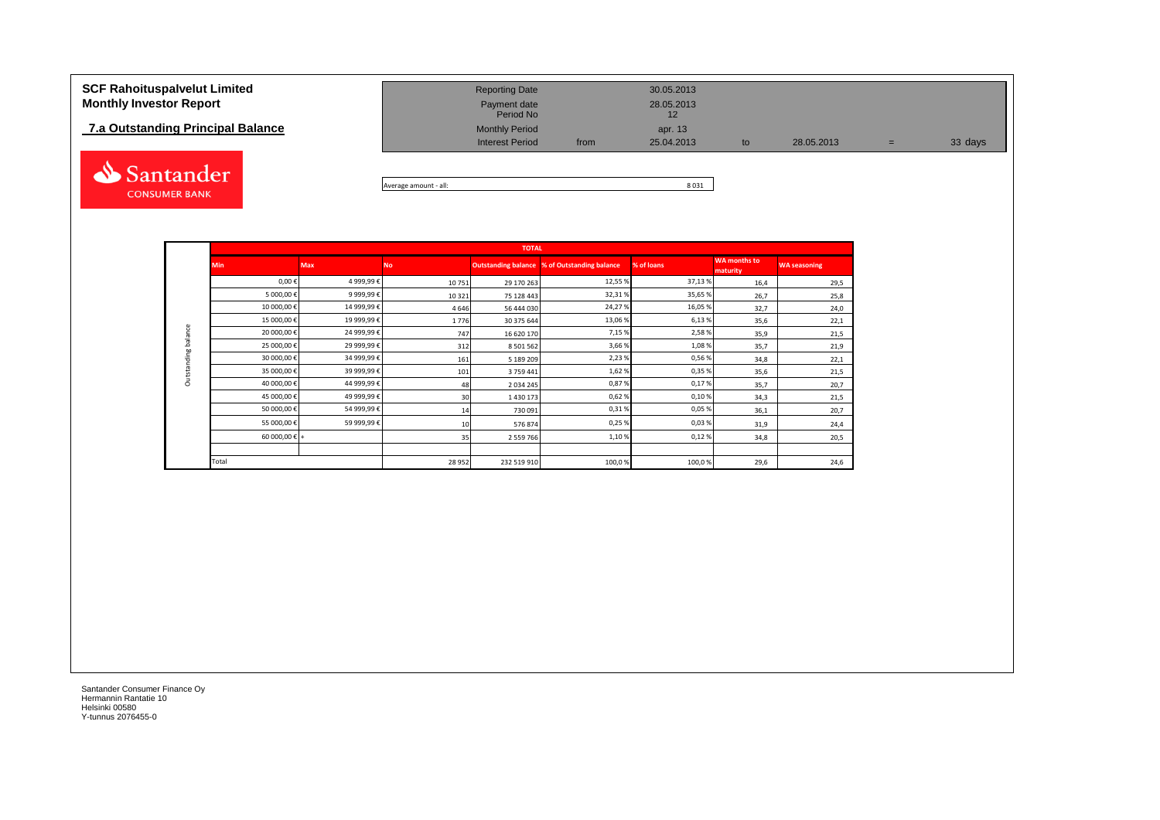## **7.a Outstanding Principal Balance**



| <b>SCF Rahoituspalvelut Limited</b><br><b>Monthly Investor Report</b> | <b>Reporting Date</b><br>Payment date<br>Period No |      | 30.05.2013<br>28.05.2013 |     |            |     |         |
|-----------------------------------------------------------------------|----------------------------------------------------|------|--------------------------|-----|------------|-----|---------|
| 7.a Outstanding Principal Balance                                     | <b>Monthly Period</b><br><b>Interest Period</b>    | from | apr. 13<br>25.04.2013    | to. | 28.05.2013 | $=$ | 33 days |
|                                                                       |                                                    |      |                          |     |            |     |         |

Average amount - all: 8 031

|                            |               |            |                 | <b>TOTAL</b>  |                                                     |            |                                 |                     |
|----------------------------|---------------|------------|-----------------|---------------|-----------------------------------------------------|------------|---------------------------------|---------------------|
|                            | <b>Min</b>    | <b>Max</b> | Nο              |               | <b>Outstanding balance % of Outstanding balance</b> | % of loans | <b>WA months to</b><br>maturity | <b>WA seasoning</b> |
|                            | $0,00 \in$    | 4 999,99€  | 10751           | 29 170 263    | 12,55 %                                             | 37,13%     | 16,4                            | 29,5                |
|                            | 5 000,00€     | 9 999,99€  | 10 3 21         | 75 128 443    | 32,31%                                              | 35,65%     | 26,7                            | 25,8                |
|                            | 10 000,00€    | 14 999,99€ | 4646            | 56 444 030    | 24,27%                                              | 16,05%     | 32,7                            | 24,0                |
|                            | 15 000,00€    | 19 999,99€ | 1776            | 30 375 644    | 13,06 %                                             | 6,13%      | 35,6                            | 22,1                |
| <b>Dutstanding balance</b> | 20 000,00€    | 24 999,99€ | 747             | 16 620 170    | 7,15%                                               | 2,58%      | 35,9                            | 21,5                |
|                            | 25 000,00€    | 29 999,99€ | 312             | 8 501 562     | 3,66%                                               | 1,08%      | 35,7                            | 21,9                |
|                            | 30 000,00€    | 34 999,99€ | 161             | 5 189 209     | 2,23%                                               | 0,56%      | 34,8                            | 22,1                |
|                            | 35 000,00€    | 39 999,99€ | 101             | 3 759 441     | 1,62%                                               | 0,35%      | 35,6                            | 21,5                |
|                            | 40 000,00€    | 44 999,99€ | 48              | 2 0 3 4 2 4 5 | 0,87%                                               | 0,17%      | 35,7                            | 20,7                |
|                            | 45 000,00€    | 49 999,99€ | 30 <sup>1</sup> | 1430173       | 0,62%                                               | 0,10%      | 34,3                            | 21,5                |
|                            | 50 000,00€    | 54 999,99€ | 14              | 730 091       | 0,31%                                               | 0,05%      | 36,1                            | 20,7                |
|                            | 55 000,00€    | 59 999,99€ | 10              | 576 874       | 0,25%                                               | 0,03%      | 31,9                            | 24,4                |
|                            | 60 000,00 € + |            | 35              | 2 559 766     | 1,10%                                               | 0,12%      | 34,8                            | 20,5                |
|                            |               |            |                 |               |                                                     |            |                                 |                     |
|                            | Total         |            | 28 9 52         | 232 519 910   | 100,0%                                              | 100,0%     | 29,6                            | 24,6                |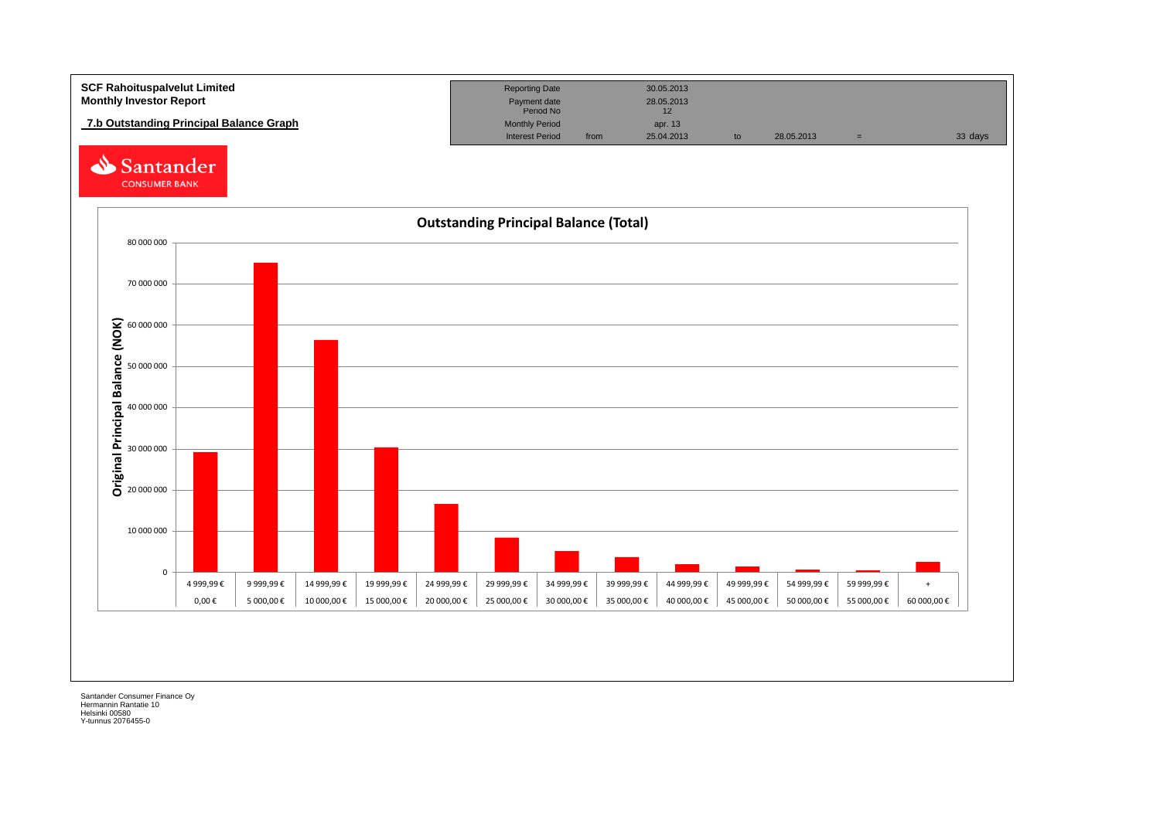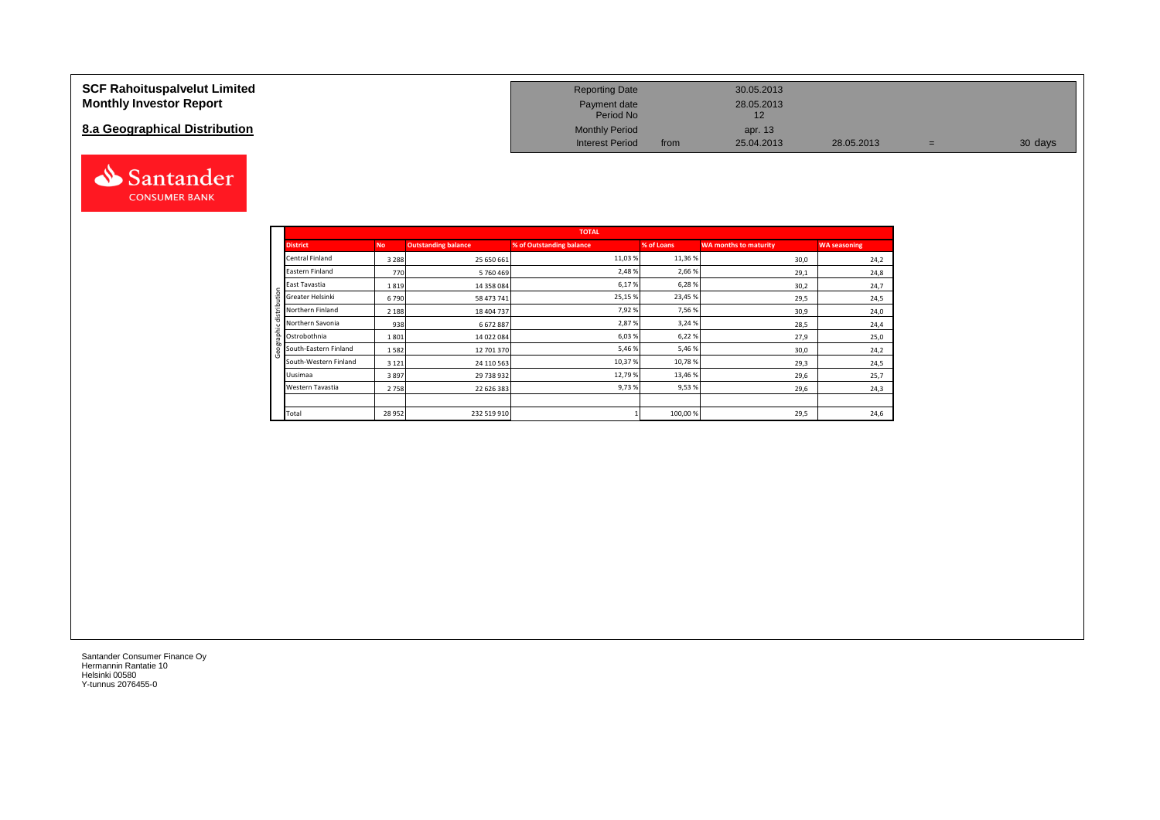### **SCF Rahoituspalvelut Limited Monthly Investor Report**

## **8.a Geographical Distribution**



| <b>Reporting Date</b>     |      | 30.05.2013       |            |   |         |
|---------------------------|------|------------------|------------|---|---------|
| Payment date<br>Period No |      | 28.05.2013<br>12 |            |   |         |
| <b>Monthly Period</b>     |      | apr. 13          |            |   |         |
| <b>Interest Period</b>    | from | 25.04.2013       | 28.05.2013 | = | 30 days |

|                       |           |                            | <b>TOTAL</b>             |            |                              |                     |
|-----------------------|-----------|----------------------------|--------------------------|------------|------------------------------|---------------------|
| <b>District</b>       | <b>No</b> | <b>Outstanding balance</b> | % of Outstanding balance | % of Loans | <b>WA months to maturity</b> | <b>WA seasoning</b> |
| Central Finland       | 3 2 8 8   | 25 650 661                 | 11,03%                   | 11,36%     | 30,0                         | 24,2                |
| Eastern Finland       | 770       | 5760469                    | 2,48%                    | 2,66%      | 29,1                         | 24,8                |
| East Tavastia         | 1819      | 14 358 084                 | 6,17%                    | 6,28%      | 30,2                         | 24,7                |
| Greater Helsinki<br>₽ | 6790      | 58 473 741                 | 25,15 %                  | 23,45 %    | 29,5                         | 24,5                |
| 은<br>Northern Finland | 2 1 8 8   | 18 404 737                 | 7,92%                    | 7,56%      | 30,9                         | 24,0                |
| Northern Savonia      | 938       | 6 672 887                  | 2,87%                    | 3,24 %     | 28,5                         | 24,4                |
| Ostrobothnia          | 1801      | 14 022 084                 | 6,03%                    | 6,22%      | 27,9                         | 25,0                |
| South-Eastern Finland | 1582      | 12 701 370                 | 5,46 %                   | 5,46%      | 30,0                         | 24,2                |
| South-Western Finland | 3 1 2 1   | 24 110 563                 | 10,37%                   | 10,78%     | 29,3                         | 24,5                |
| Uusimaa               | 3897      | 29 738 932                 | 12,79%                   | 13,46%     | 29,6                         | 25,7                |
| Western Tavastia      | 2758      | 22 626 383                 | 9,73%                    | 9,53%      | 29,6                         | 24,3                |
|                       |           |                            |                          |            |                              |                     |
| Total                 | 28 952    | 232 519 910                |                          | 100,00%    | 29,5                         | 24,6                |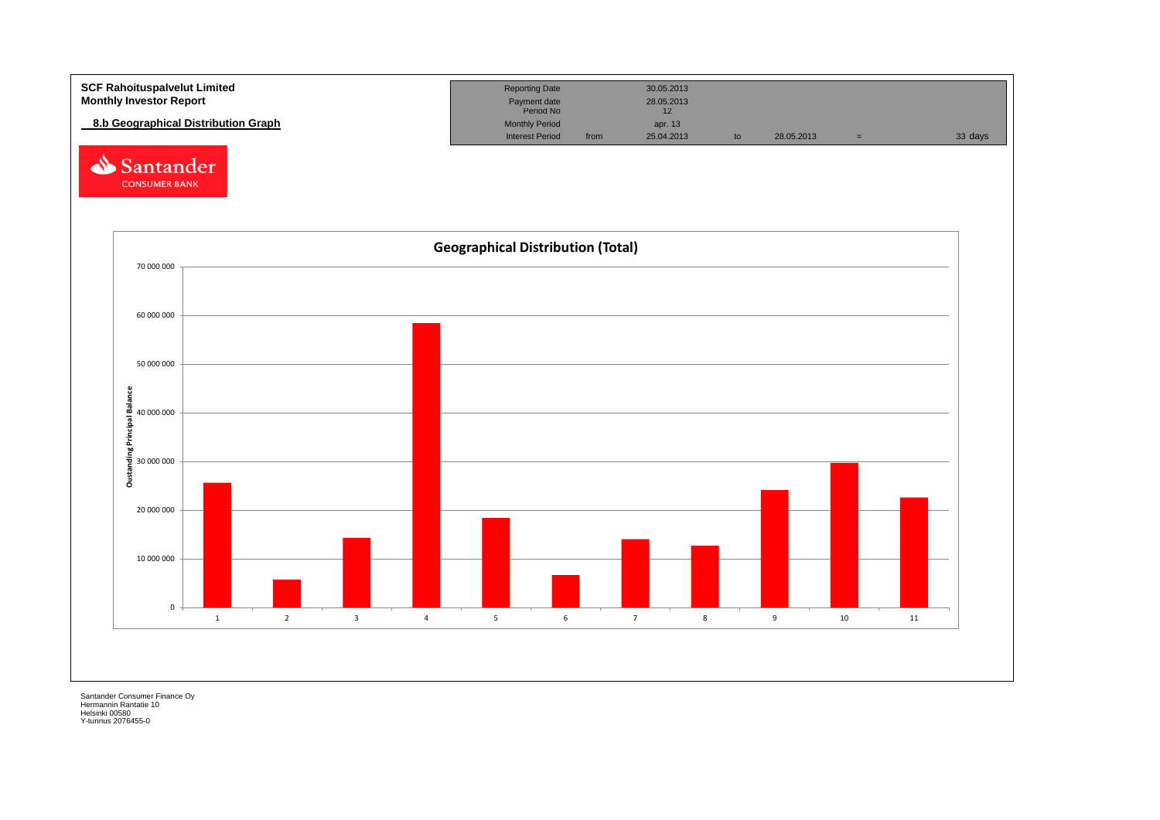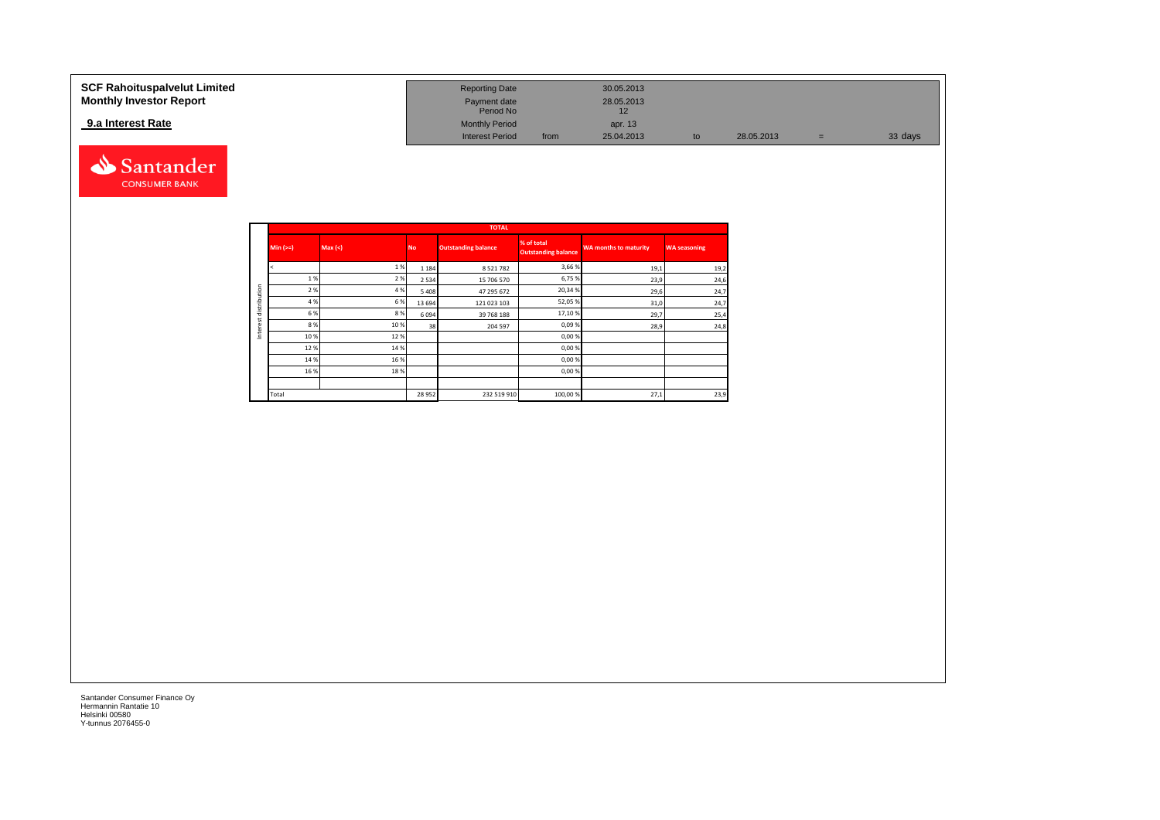#### **SCF Rahoituspalvelut Limited Reporting Date 30.05.2013 Reporting Date 30.05.2013 Monthly Investor Report Payment date** 28.05.2013 Payment date<br>
Period No 12<br>
12  **9.a Interest Rate** Monthly Period apr. 13 Interest Period from 25.04.2013 to 28.05.2013 = 33 days



|              |            |         |           | <b>TOTAL</b>               |                                          |                              |                     |
|--------------|------------|---------|-----------|----------------------------|------------------------------------------|------------------------------|---------------------|
|              | $Min (=)=$ | Max (<) | <b>No</b> | <b>Outstanding balance</b> | % of total<br><b>Outstanding balance</b> | <b>WA months to maturity</b> | <b>WA seasoning</b> |
|              |            | 1 %     | 1 1 8 4   | 8 5 2 1 7 8 2              | 3,66 %                                   | 19,1                         | 19,2                |
|              | 1%         | 2%      | 2 5 3 4   | 15 706 570                 | 6,75 %                                   | 23,9                         | 24,6                |
| distribution | 2 %        | 4 %     | 5 4 0 8   | 47 295 672                 | 20,34 %                                  | 29,6                         | 24,7                |
|              | 4 %        | 6%      | 13 6 9 4  | 121 023 103                | 52,05%                                   | 31,0                         | 24,7                |
|              | 6 %        | 8%      | 6094      | 39 768 188                 | 17,10%                                   | 29,7                         | 25,4                |
| est          | 8%         | 10%     | 38        | 204 597                    | 0,09%                                    | 28,9                         | 24,8                |
| Inter        | 10%        | 12%     |           |                            | 0,00%                                    |                              |                     |
|              | 12%        | 14 %    |           |                            | 0,00%                                    |                              |                     |
|              | 14 %       | 16 %    |           |                            | 0,00%                                    |                              |                     |
|              | 16 %       | 18%     |           |                            | 0,00 %                                   |                              |                     |
|              |            |         |           |                            |                                          |                              |                     |
|              | Total      |         | 28 9 52   | 232 519 910                | 100,00 %                                 | 27,1                         | 23,9                |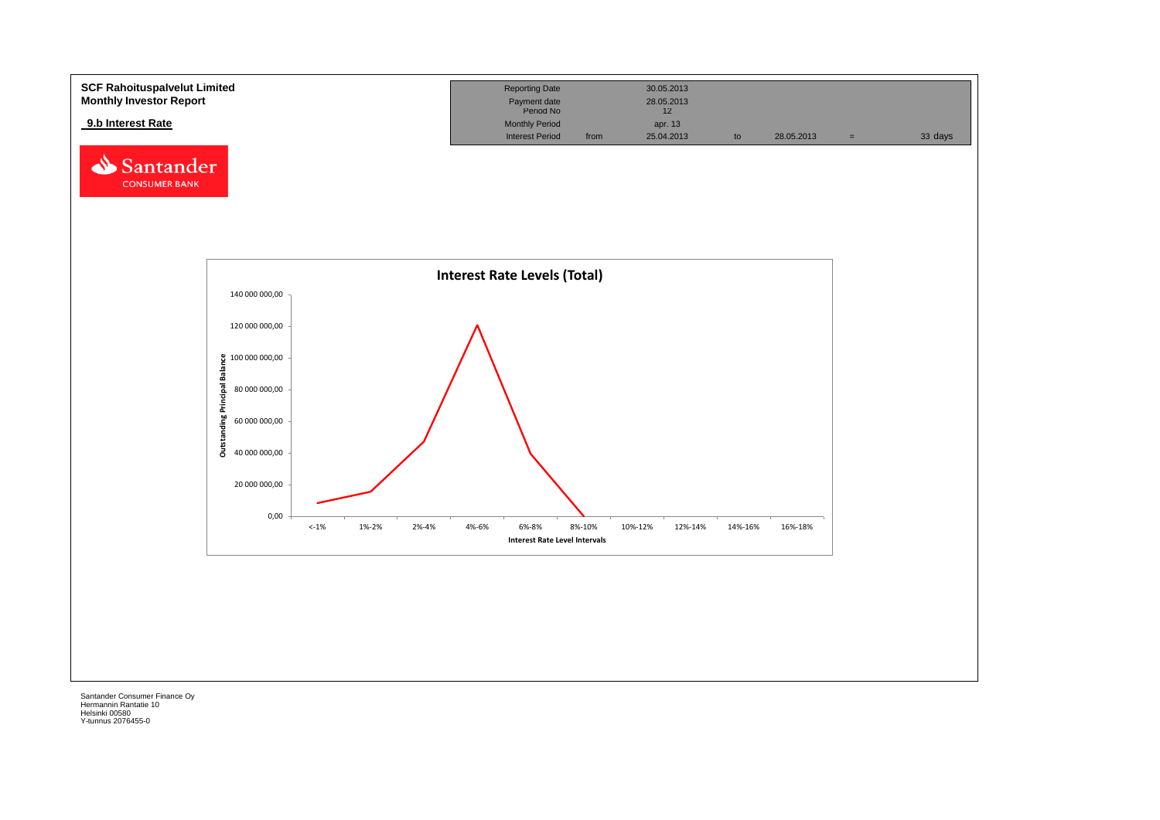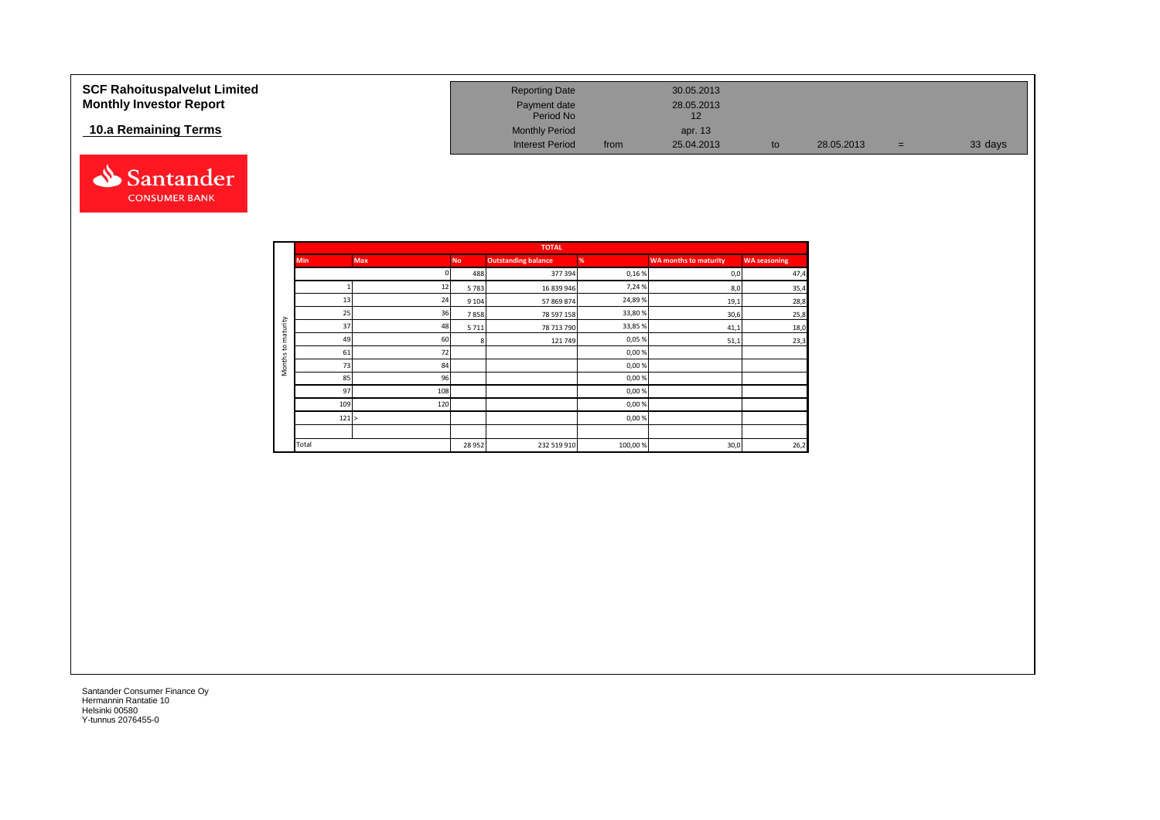| <b>SCF Rahoituspalvelut Limited</b><br><b>Monthly Investor Report</b> | <b>Reporting Date</b><br>Payment date<br>Period No |      | 30.05.2013<br>28.05.2013<br>12 |    |            |     |         |
|-----------------------------------------------------------------------|----------------------------------------------------|------|--------------------------------|----|------------|-----|---------|
| 10.a Remaining Terms                                                  | <b>Monthly Period</b><br><b>Interest Period</b>    | from | apr. 13<br>25.04.2013          | to | 28.05.2013 | $=$ | 33 days |



|                     |            |            |           | <b>TOTAL</b>               |         |                              |                     |
|---------------------|------------|------------|-----------|----------------------------|---------|------------------------------|---------------------|
|                     | <b>Min</b> | <b>Max</b> | <b>No</b> | <b>Outstanding balance</b> | %       | <b>WA months to maturity</b> | <b>WA seasoning</b> |
|                     |            |            | 488       | 377 394                    | 0,16%   | 0,0                          | 47,4                |
|                     |            | 12         | 5783      | 16 839 946                 | 7,24%   | 8,0                          | 35,4                |
|                     | 13         | 24         | 9 1 0 4   | 57 869 874                 | 24,89%  | 19,1                         | 28,8                |
|                     | 25         | 36         | 7858      | 78 597 158                 | 33,80%  | 30,6                         | 25,8                |
| maturity            | 37         | 48         | 5711      | 78 713 790                 | 33,85%  | 41,1                         | 18,0                |
|                     | 49         | 60         | я         | 121 749                    | 0,05%   | 51,1                         | 23,3                |
| 5                   | 61         | 72         |           |                            | 0,00%   |                              |                     |
| Months <sup>-</sup> | 73         | 84         |           |                            | 0,00%   |                              |                     |
|                     | 85         | 96         |           |                            | 0,00%   |                              |                     |
|                     | 97         | 108        |           |                            | 0,00%   |                              |                     |
|                     | 109        | 120        |           |                            | 0,00%   |                              |                     |
|                     | 121 >      |            |           |                            | 0,00%   |                              |                     |
|                     |            |            |           |                            |         |                              |                     |
|                     | Total      |            | 28 9 52   | 232 519 910                | 100,00% | 30,0                         | 26,2                |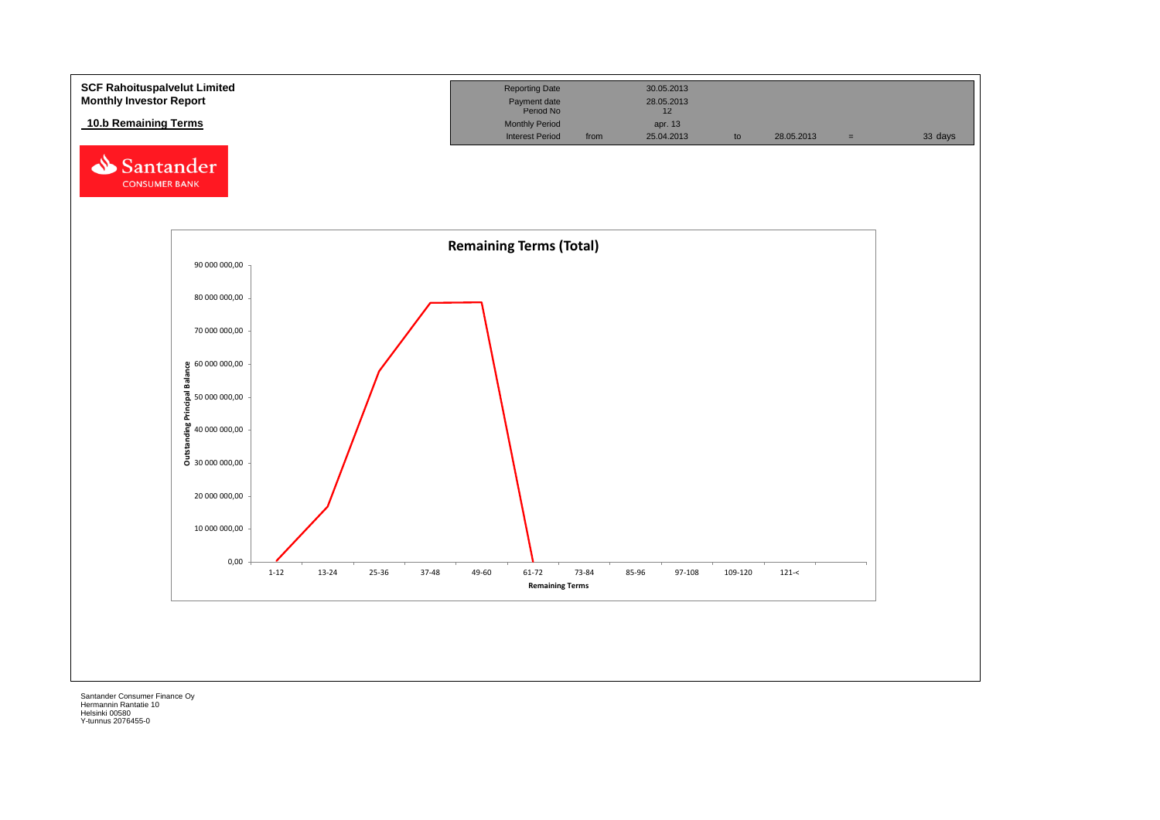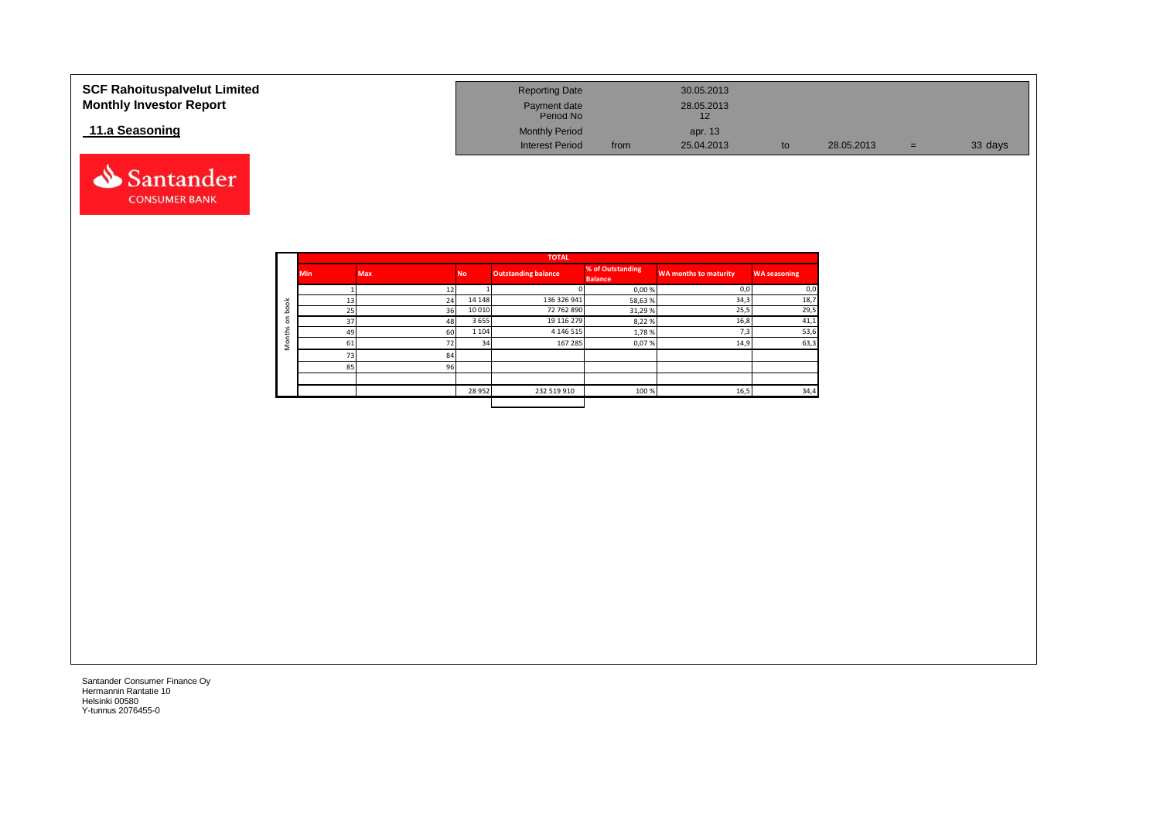| <b>SCF Rahoituspalvelut Limited</b><br><b>Monthly Investor Report</b> | <b>Reporting Date</b><br>Payment date<br>Period No |      | 30.05.2013<br>28.05.2013<br>12 |    |            |     |         |
|-----------------------------------------------------------------------|----------------------------------------------------|------|--------------------------------|----|------------|-----|---------|
| 11.a Seasoning                                                        | <b>Monthly Period</b>                              |      | apr. 13                        |    |            |     |         |
|                                                                       | <b>Interest Period</b>                             | from | 25.04.2013                     | to | 28.05.2013 | $=$ | 33 days |



|                                |            |            |           | <b>TOTAL</b>               |                                    |                       |                     |
|--------------------------------|------------|------------|-----------|----------------------------|------------------------------------|-----------------------|---------------------|
|                                | <b>Min</b> | <b>Max</b> | <b>No</b> | <b>Outstanding balance</b> | % of Outstanding<br><b>Balance</b> | WA months to maturity | <b>WA seasoning</b> |
|                                |            | 12         |           |                            | 0,00%                              | 0,0                   | 0,0                 |
| 풍                              | 13         | 24         | 14 14 8   | 136 326 941                | 58,63%                             | 34,3                  | 18,7                |
| $\circ$<br>ء                   | 25         | 36         | 10 010    | 72 762 890                 | 31,29%                             | 25,5                  | 29,5                |
| $\blacksquare$<br>$\circ$<br>s | 37         | 48         | 3655      | 19 116 279                 | 8,22%                              | 16,8                  | 41,1                |
| £                              | 49         | 60         | 1 1 0 4   | 4 1 4 6 5 1 5              | 1,78%                              | 7,3                   | 53,6                |
|                                | 61         | 72         | 34        | 167 285                    | 0,07%                              | 14,9                  | 63,3                |
| Σ                              | 73         | 84         |           |                            |                                    |                       |                     |
|                                | 85         | 96         |           |                            |                                    |                       |                     |
|                                |            |            |           |                            |                                    |                       |                     |
|                                |            |            | 28 9 52   | 232 519 910                | 100 %                              | 16,5                  | 34,4                |
|                                |            |            |           |                            |                                    |                       |                     |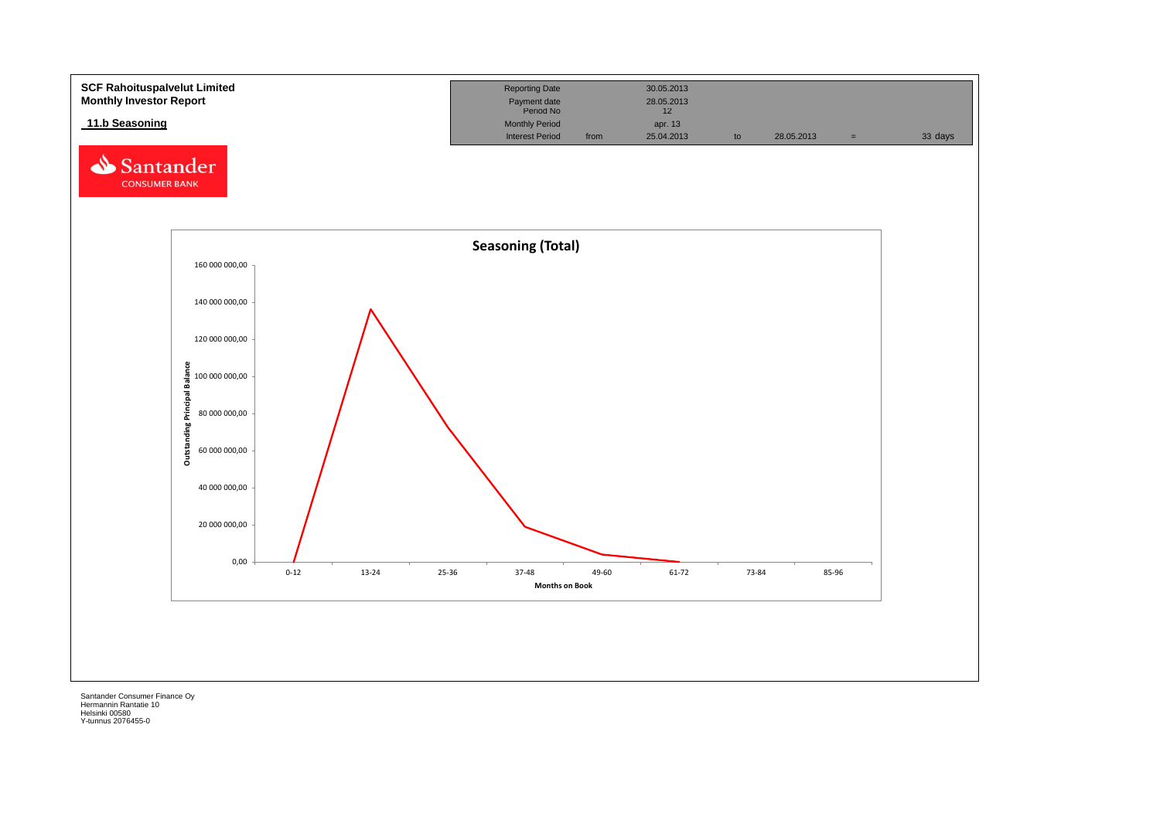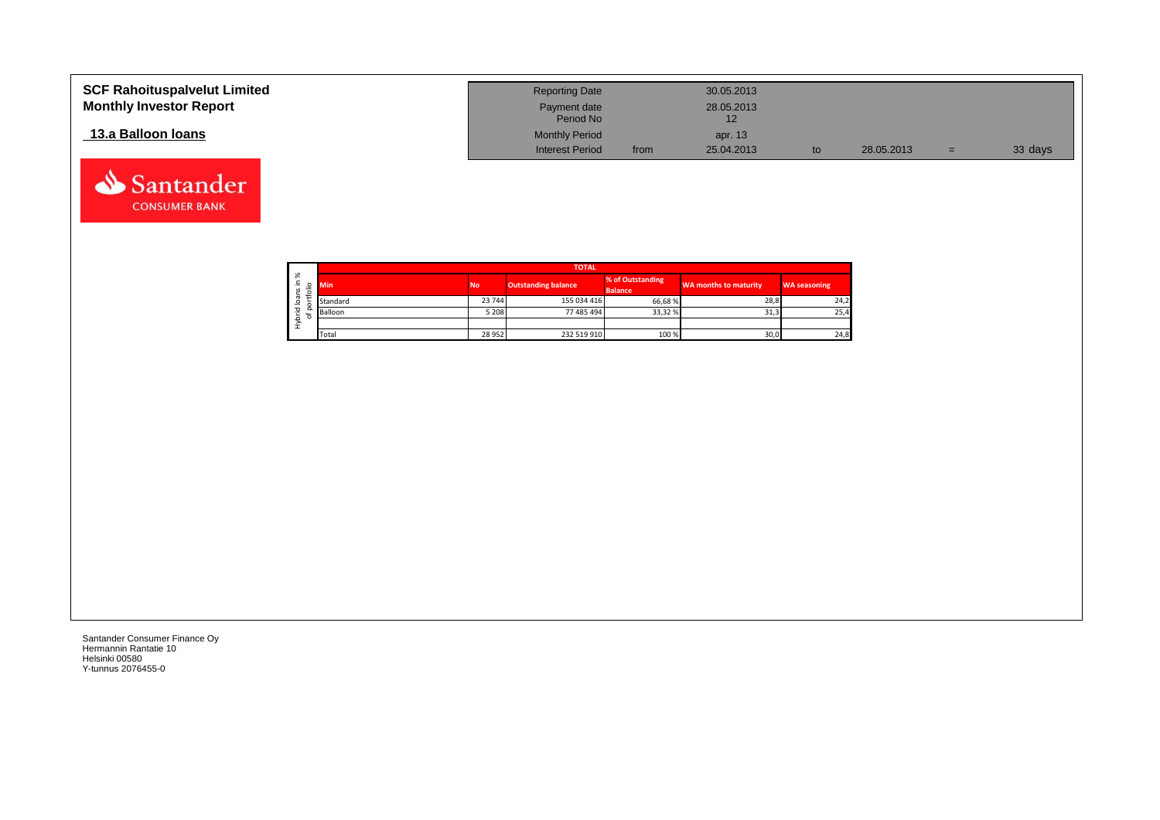| <b>SCF Rahoituspalvelut Limited</b><br><b>Monthly Investor Report</b> | <b>Reporting Date</b><br>Payment date                        |      | 30.05.2013<br>28.05.2013 |            |     |         |
|-----------------------------------------------------------------------|--------------------------------------------------------------|------|--------------------------|------------|-----|---------|
| 13.a Balloon Ioans                                                    | Period No<br><b>Monthly Period</b><br><b>Interest Period</b> | from | apr. 13<br>25.04.2013    | 28.05.2013 | $=$ | 33 days |

┑

÷,

|                   |             |          | <b>TOTAL</b> |                            |                                    |                       |                     |  |  |  |  |  |  |  |
|-------------------|-------------|----------|--------------|----------------------------|------------------------------------|-----------------------|---------------------|--|--|--|--|--|--|--|
| ৯<br>Ξ.<br>5<br>∽ | ۰           | Min      | <b>No</b>    | <b>Outstanding balance</b> | % of Outstanding<br><b>Balance</b> | WA months to maturity | <b>WA seasoning</b> |  |  |  |  |  |  |  |
| ത<br>⊴            |             | Standard | 23 744       | 155 034 416                | 66,68%                             | 28,8                  | 24,2                |  |  |  |  |  |  |  |
| 꼳                 | o<br>ー<br>o | Balloon  | 5 2 0 8      | 77 485 494                 | 33,32 %                            | 31,3                  | 25,4                |  |  |  |  |  |  |  |
| ء<br>줖            |             |          |              |                            |                                    |                       |                     |  |  |  |  |  |  |  |
|                   |             | Total    | 28 9 52      | 232 519 910                | 100 %                              | 30,0                  | 24,8                |  |  |  |  |  |  |  |

Santander Consumer Finance Oy Hermannin Rantatie 10 Helsinki 00580 Y-tunnus 2076455-0

Santander **CONSUMER BANK**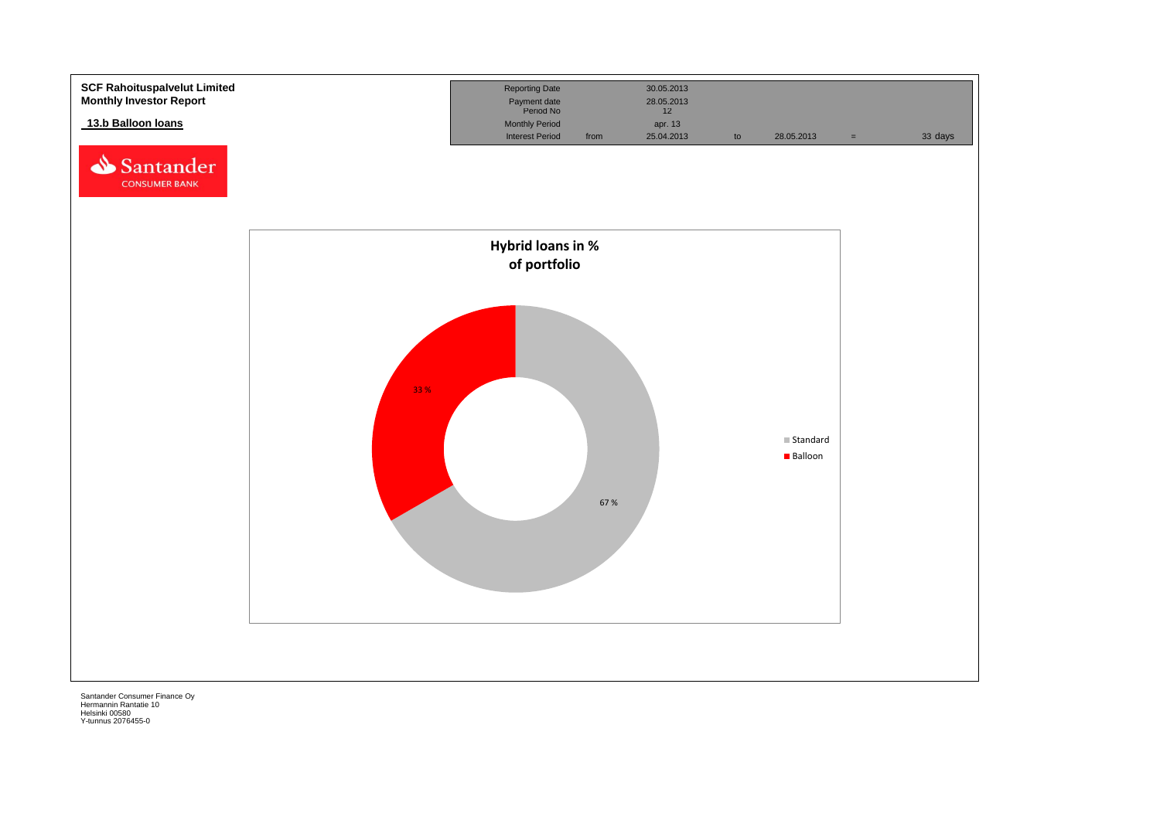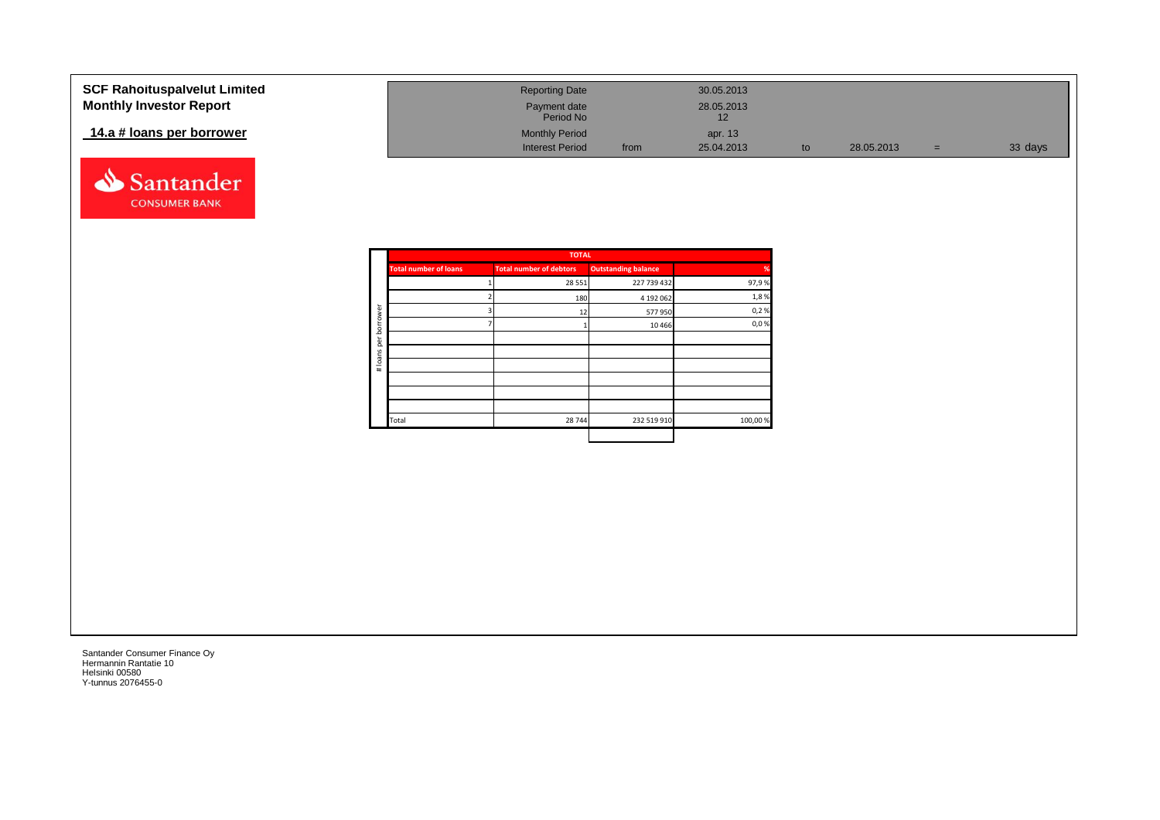| <b>SCF Rahoituspalvelut Limited</b> | <b>Reporting Date</b>     |      | 30.05.2013       |            |     |         |
|-------------------------------------|---------------------------|------|------------------|------------|-----|---------|
| <b>Monthly Investor Report</b>      | Payment date<br>Period No |      | 28.05.2013<br>12 |            |     |         |
| 14.a # loans per borrower           | <b>Monthly Period</b>     |      | apr. 13          |            |     |         |
|                                     | <b>Interest Period</b>    | from | 25.04.2013       | 28.05.2013 | $=$ | 33 days |



| <b>TOTAL</b> |                                                                                       |          |  |  |  |  |  |
|--------------|---------------------------------------------------------------------------------------|----------|--|--|--|--|--|
|              | <b>Total number of loans</b>                                                          |          |  |  |  |  |  |
|              |                                                                                       |          |  |  |  |  |  |
|              |                                                                                       |          |  |  |  |  |  |
|              |                                                                                       |          |  |  |  |  |  |
|              |                                                                                       | borrower |  |  |  |  |  |
|              |                                                                                       | per      |  |  |  |  |  |
|              |                                                                                       |          |  |  |  |  |  |
|              |                                                                                       | # loans  |  |  |  |  |  |
|              |                                                                                       |          |  |  |  |  |  |
|              |                                                                                       |          |  |  |  |  |  |
|              |                                                                                       |          |  |  |  |  |  |
| 28 744       | Total                                                                                 |          |  |  |  |  |  |
|              | <b>Outstanding balance</b><br><b>Total number of debtors</b><br>28 5 5 1<br>180<br>12 |          |  |  |  |  |  |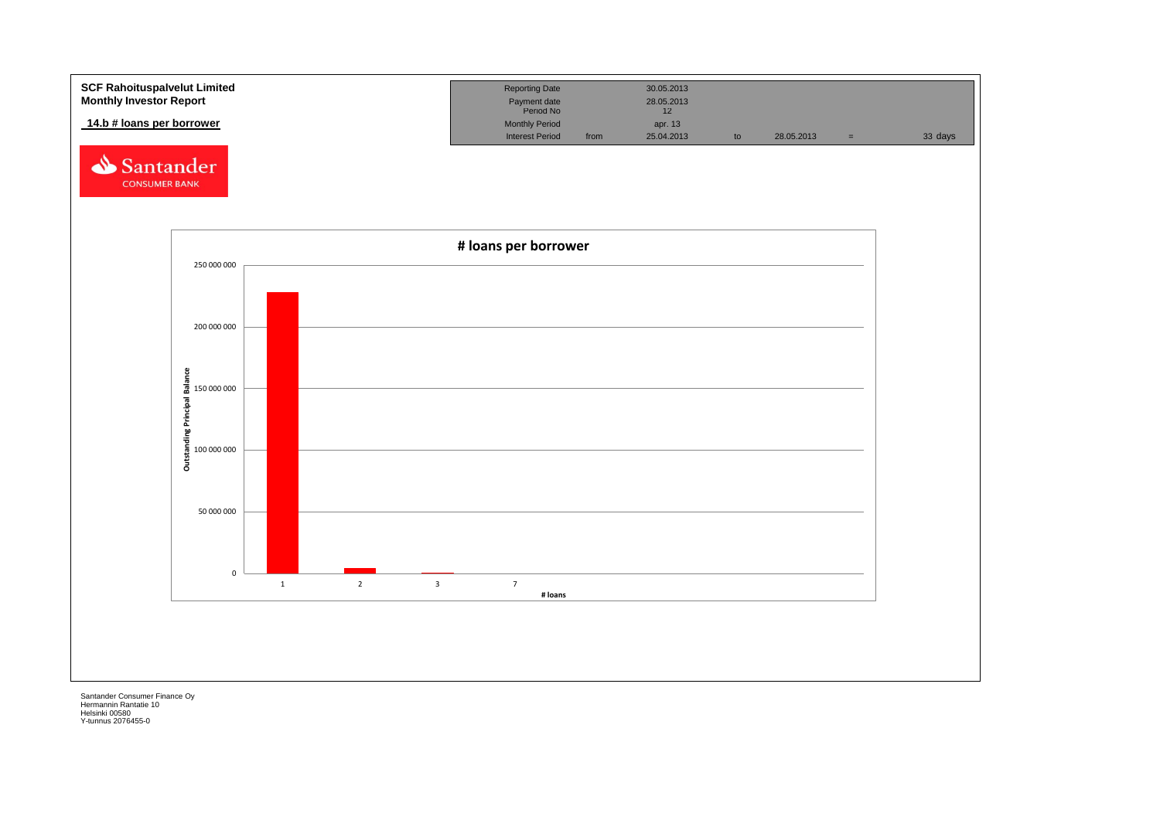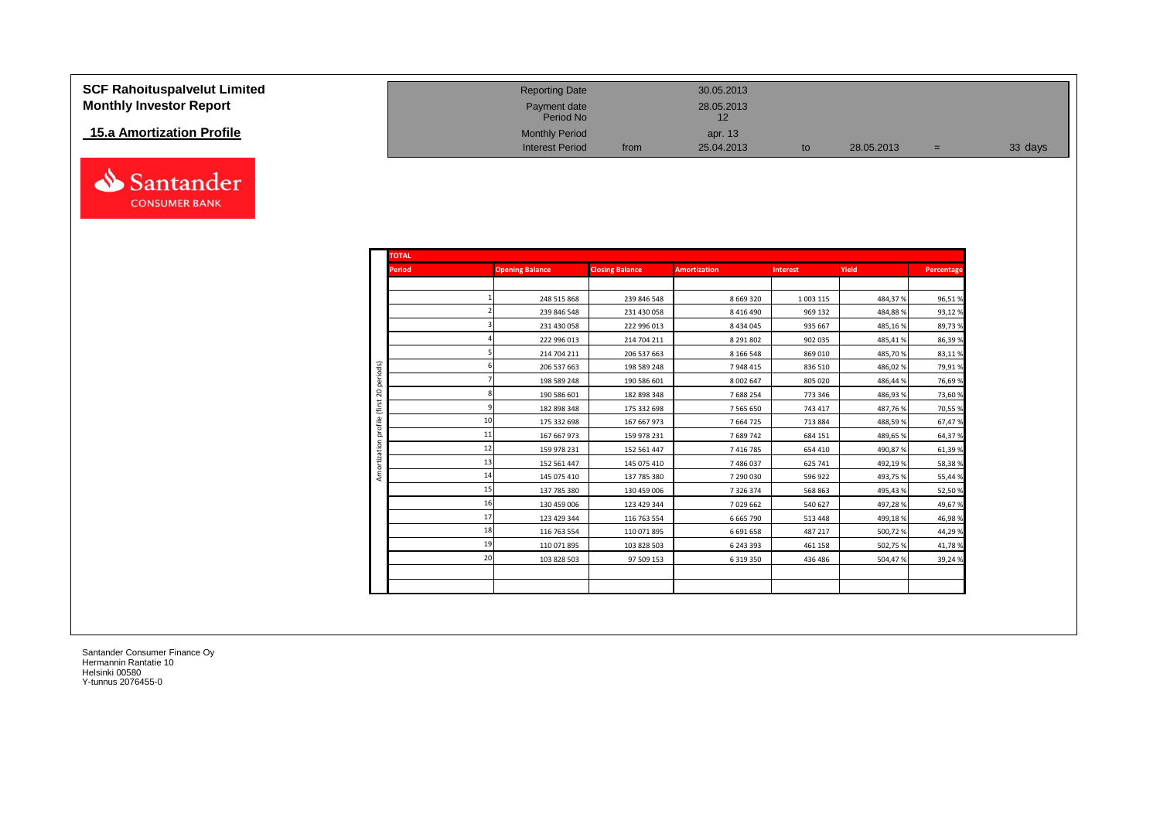| <b>SCF Rahoituspalvelut Limited</b> |
|-------------------------------------|
| <b>Monthly Investor Report</b>      |

## **15.a Amortization Profile**



| <b>SCF Rahoituspalvelut Limited</b> | <b>Reporting Date</b>     |      | 30.05.2013 |    |            |     |         |
|-------------------------------------|---------------------------|------|------------|----|------------|-----|---------|
| <b>Monthly Investor Report</b>      | Payment date<br>Period No |      | 28.05.2013 |    |            |     |         |
| 15.a Amortization Profile           | <b>Monthly Period</b>     |      | apr. 13    |    |            |     |         |
|                                     | <b>Interest Period</b>    | from | 25.04.2013 | to | 28.05.2013 | $=$ | 33 days |

| <b>TOTAL</b>            |    |                        |                        |                     |                 |         |            |
|-------------------------|----|------------------------|------------------------|---------------------|-----------------|---------|------------|
| <b>Period</b>           |    | <b>Opening Balance</b> | <b>Closing Balance</b> | <b>Amortization</b> | <b>Interest</b> | Yield   | Percentage |
|                         |    |                        |                        |                     |                 |         |            |
|                         |    | 248 515 868            | 239 846 548            | 8 6 6 9 3 2 0       | 1 003 115       | 484,37% | 96,51%     |
|                         |    | 239 846 548            | 231 430 058            | 8 4 1 6 4 9 0       | 969 132         | 484,88% | 93,12%     |
|                         |    | 231 430 058            | 222 996 013            | 8434045             | 935 667         | 485,16% | 89,73%     |
|                         |    | 222 996 013            | 214 704 211            | 8 29 1 8 0 2        | 902 035         | 485,41% | 86,39%     |
|                         |    | 214 704 211            | 206 537 663            | 8 1 6 5 4 8         | 869 010         | 485,70% | 83,11%     |
|                         |    | 206 537 663            | 198 589 248            | 7948415             | 836 510         | 486,02% | 79,91%     |
| periods)                |    | 198 589 248            | 190 586 601            | 8 0 0 2 6 4 7       | 805 020         | 486,44% | 76,69%     |
| g                       |    | 190 586 601            | 182 898 348            | 7688254             | 773 346         | 486,93% | 73,60%     |
| (first                  |    | 182 898 348            | 175 332 698            | 7 5 6 5 6 5 0       | 743 417         | 487,76% | 70,55%     |
|                         | 10 | 175 332 698            | 167 667 973            | 7664725             | 713 884         | 488,59% | 67,47%     |
| profile<br>Amortization | 11 | 167 667 973            | 159 978 231            | 7689742             | 684 151         | 489,65% | 64,37%     |
|                         | 12 | 159 978 231            | 152 561 447            | 7416785             | 654 410         | 490,87% | 61,39%     |
|                         | 13 | 152 561 447            | 145 075 410            | 7486037             | 625 741         | 492,19% | 58,38%     |
|                         | 14 | 145 075 410            | 137 785 380            | 7 290 030           | 596 922         | 493,75% | 55,44%     |
|                         | 15 | 137 785 380            | 130 459 006            | 7326374             | 568 863         | 495,43% | 52,50%     |
|                         | 16 | 130 459 006            | 123 429 344            | 7029662             | 540 627         | 497,28% | 49,67%     |
|                         | 17 | 123 429 344            | 116 763 554            | 6 6 6 5 7 9 0       | 513 448         | 499,18% | 46,98%     |
|                         | 18 | 116 763 554            | 110 071 895            | 6691658             | 487 217         | 500,72% | 44,29%     |
|                         | 19 | 110 071 895            | 103 828 503            | 6 243 393           | 461 158         | 502,75% | 41,78%     |
|                         | 20 | 103 828 503            | 97 509 153             | 6319350             | 436 486         | 504,47% | 39,24%     |
|                         |    |                        |                        |                     |                 |         |            |
|                         |    |                        |                        |                     |                 |         |            |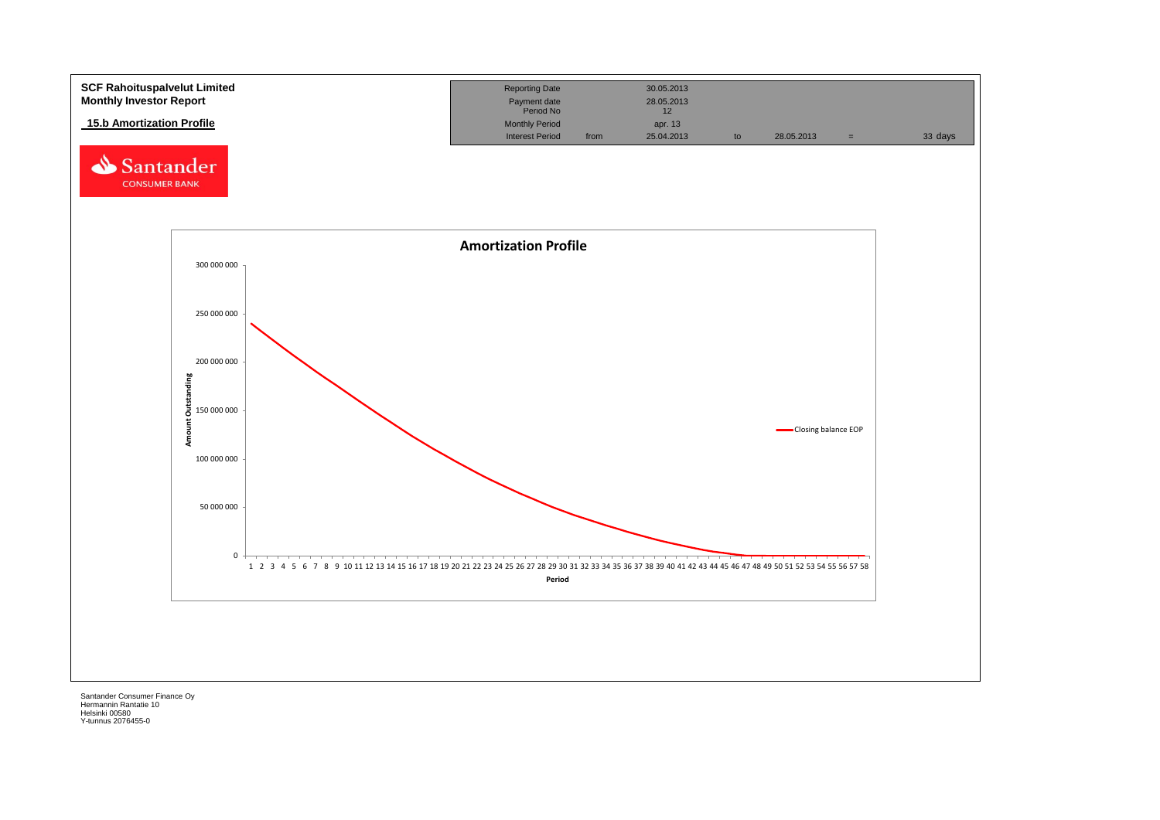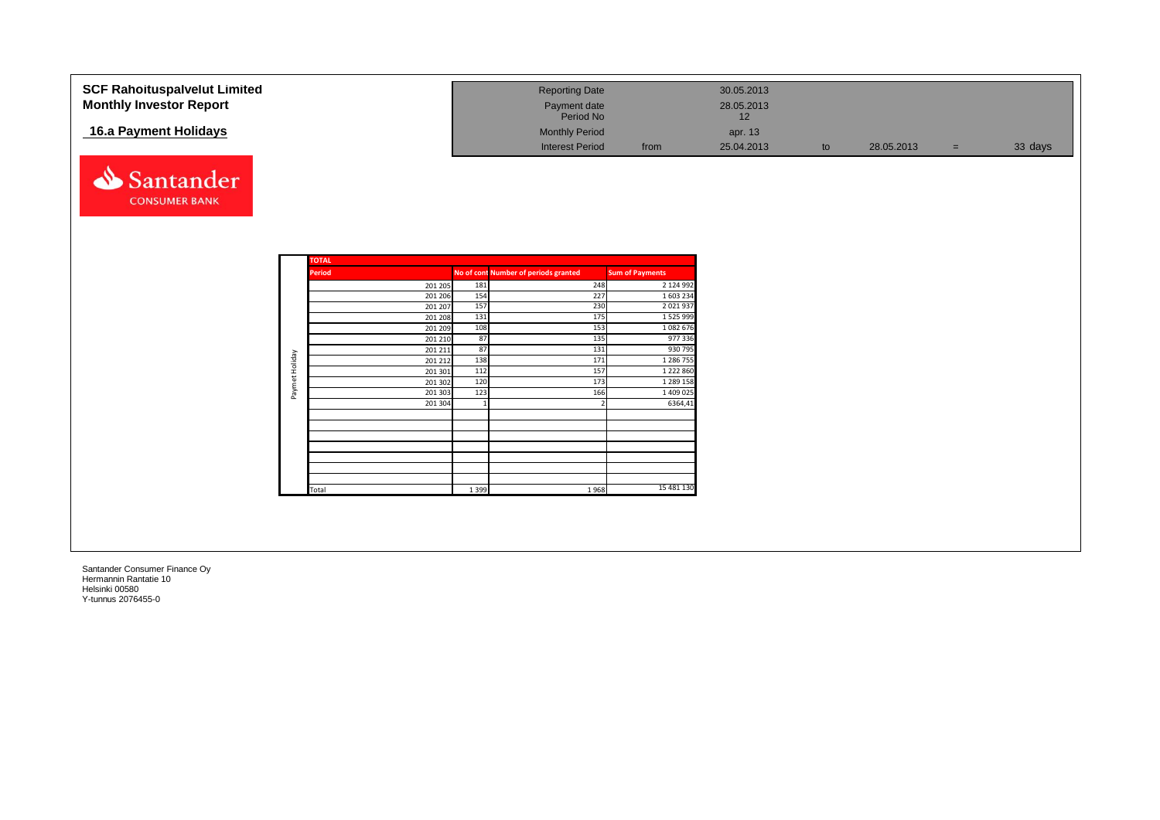| <b>SCF Rahoituspalvelut Limited</b> |                |               |         | <b>Reporting Date</b>                |                        | 30.05.2013 |    |            |     |         |
|-------------------------------------|----------------|---------------|---------|--------------------------------------|------------------------|------------|----|------------|-----|---------|
| <b>Monthly Investor Report</b>      |                |               |         | Payment date                         |                        | 28.05.2013 |    |            |     |         |
|                                     |                |               |         | Period No                            |                        | 12         |    |            |     |         |
| 16.a Payment Holidays               |                |               |         | <b>Monthly Period</b>                |                        | apr. 13    |    |            |     |         |
|                                     |                |               |         |                                      |                        |            |    |            |     |         |
|                                     |                |               |         | <b>Interest Period</b>               | from                   | 25.04.2013 | to | 28.05.2013 | $=$ | 33 days |
|                                     |                |               |         |                                      |                        |            |    |            |     |         |
| Santander                           |                |               |         |                                      |                        |            |    |            |     |         |
|                                     |                |               |         |                                      |                        |            |    |            |     |         |
| <b>CONSUMER BANK</b>                |                |               |         |                                      |                        |            |    |            |     |         |
|                                     |                |               |         |                                      |                        |            |    |            |     |         |
|                                     |                |               |         |                                      |                        |            |    |            |     |         |
|                                     |                |               |         |                                      |                        |            |    |            |     |         |
|                                     |                |               |         |                                      |                        |            |    |            |     |         |
|                                     |                | <b>TOTAL</b>  |         |                                      |                        |            |    |            |     |         |
|                                     |                | <b>Period</b> |         | No of cont Number of periods granted | <b>Sum of Payments</b> |            |    |            |     |         |
|                                     |                | 201 205       | 181     | 248                                  | 2 124 992              |            |    |            |     |         |
|                                     |                | 201 206       | 154     | 227                                  | 1 603 234              |            |    |            |     |         |
|                                     |                | 201 207       | 157     | 230                                  | 2 0 2 1 9 3 7          |            |    |            |     |         |
|                                     |                | 201 208       | 131     | 175                                  | 1 5 2 5 9 9 9 9        |            |    |            |     |         |
|                                     |                | 201 209       | 108     | 153                                  | 1 0 8 2 6 7 6          |            |    |            |     |         |
|                                     |                | 201 210       | 87      | 135                                  | 977 336                |            |    |            |     |         |
|                                     |                | 201 211       | 87      | 131                                  | 930 795                |            |    |            |     |         |
|                                     | Paymet Holiday | 201 212       | 138     | 171                                  | 1 286 755              |            |    |            |     |         |
|                                     |                | 201 301       | 112     | 157                                  | 1 2 2 2 8 6 0          |            |    |            |     |         |
|                                     |                | 201 302       | 120     | 173                                  | 1 289 158              |            |    |            |     |         |
|                                     |                | 201 303       | 123     | 166                                  | 1 409 025              |            |    |            |     |         |
|                                     |                | 201 304       |         |                                      | 6364,41                |            |    |            |     |         |
|                                     |                |               |         |                                      |                        |            |    |            |     |         |
|                                     |                |               |         |                                      |                        |            |    |            |     |         |
|                                     |                |               |         |                                      |                        |            |    |            |     |         |
|                                     |                |               |         |                                      |                        |            |    |            |     |         |
|                                     |                |               |         |                                      |                        |            |    |            |     |         |
|                                     |                |               |         |                                      |                        |            |    |            |     |         |
|                                     |                |               | 1 3 9 9 | 1968                                 | 15 481 130             |            |    |            |     |         |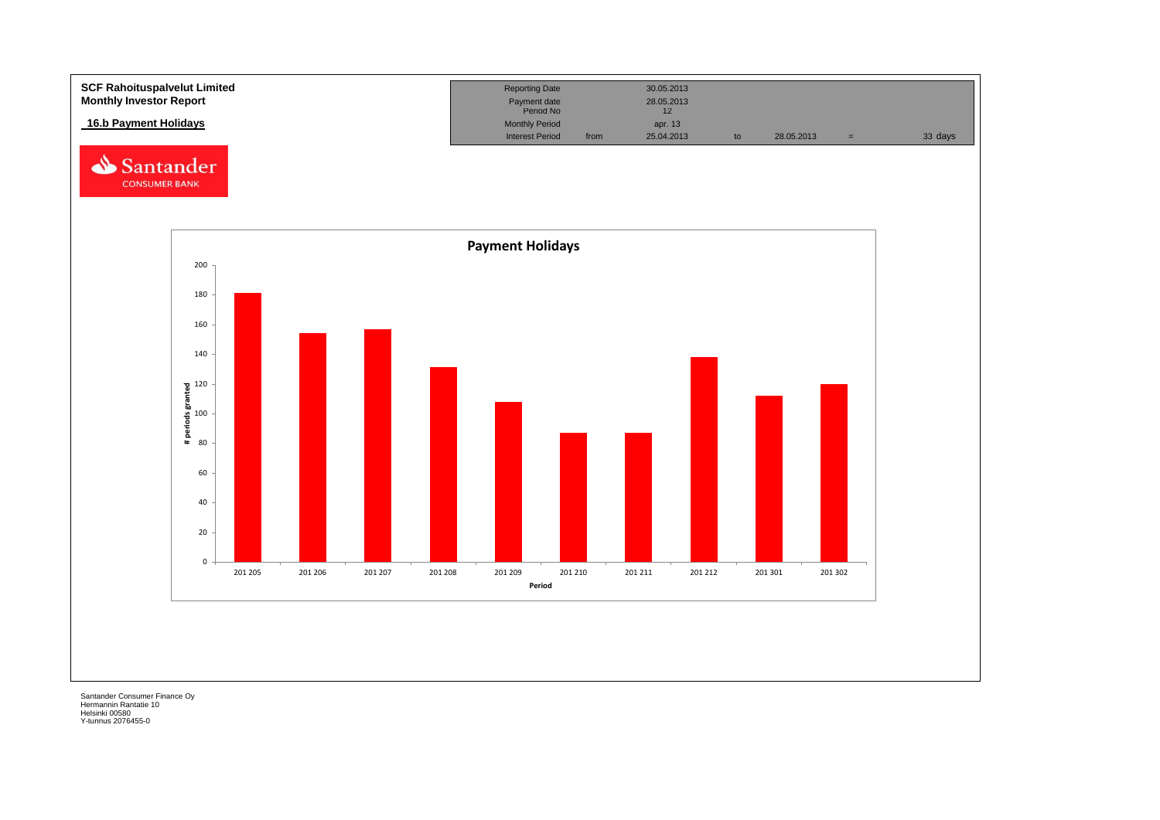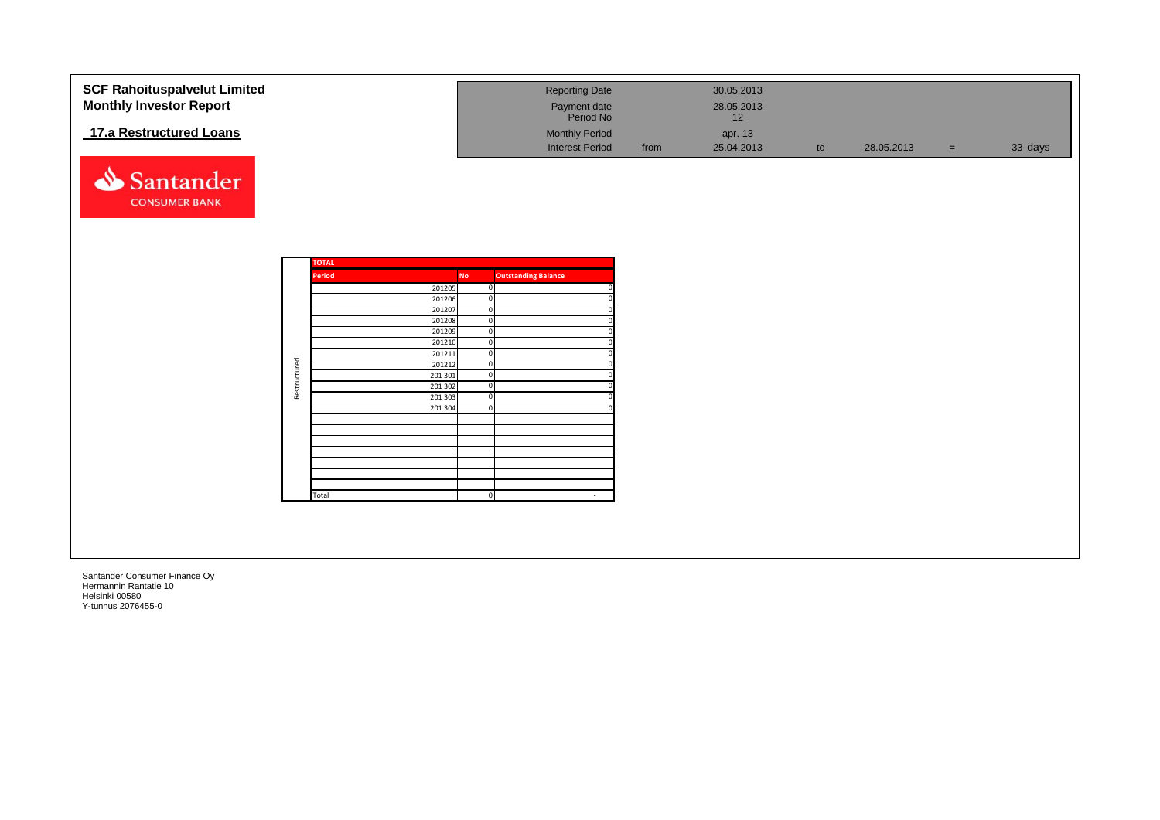| <b>SCF Rahoituspalvelut Limited</b> |              |              |                  |           | <b>Reporting Date</b>         |      | 30.05.2013 |    |            |          |         |
|-------------------------------------|--------------|--------------|------------------|-----------|-------------------------------|------|------------|----|------------|----------|---------|
| <b>Monthly Investor Report</b>      |              |              |                  |           |                               |      | 28.05.2013 |    |            |          |         |
|                                     |              |              |                  |           | Payment date<br>Period No     |      | 12         |    |            |          |         |
| 17.a Restructured Loans             |              |              |                  |           | <b>Monthly Period</b>         |      | apr. 13    |    |            |          |         |
|                                     |              |              |                  |           | <b>Interest Period</b>        | from | 25.04.2013 | to | 28.05.2013 | $\equiv$ | 33 days |
|                                     |              |              |                  |           |                               |      |            |    |            |          |         |
|                                     |              |              |                  |           |                               |      |            |    |            |          |         |
| Santander                           |              |              |                  |           |                               |      |            |    |            |          |         |
| <b>CONSUMER BANK</b>                |              |              |                  |           |                               |      |            |    |            |          |         |
|                                     |              |              |                  |           |                               |      |            |    |            |          |         |
|                                     |              |              |                  |           |                               |      |            |    |            |          |         |
|                                     |              |              |                  |           |                               |      |            |    |            |          |         |
|                                     |              |              |                  |           |                               |      |            |    |            |          |         |
|                                     |              | <b>TOTAL</b> |                  |           |                               |      |            |    |            |          |         |
|                                     |              | Period       |                  | <b>No</b> | <b>Outstanding Balance</b>    |      |            |    |            |          |         |
|                                     |              |              | 201205<br>201206 |           | $\mathbf 0$<br>$\overline{0}$ |      |            |    |            |          |         |
|                                     |              |              | 201207           |           | $\mathbf 0$                   |      |            |    |            |          |         |
|                                     |              |              | 201208           |           | $\mathbf 0$                   |      |            |    |            |          |         |
|                                     |              |              | 201209           |           | $\mathbf 0$                   |      |            |    |            |          |         |
|                                     |              |              | 201210           |           | $\overline{0}$                |      |            |    |            |          |         |
|                                     |              |              | 201211<br>201212 |           | $\mathbf 0$<br>$\mathbf 0$    |      |            |    |            |          |         |
|                                     | Restructured |              | 201 301          |           | $\overline{0}$                |      |            |    |            |          |         |
|                                     |              |              | 201 302          |           | $\mathbf 0$                   |      |            |    |            |          |         |
|                                     |              |              | 201 303          |           | $\mathbf 0$                   |      |            |    |            |          |         |
|                                     |              |              | 201 304          |           | $\mathbf 0$                   |      |            |    |            |          |         |
|                                     |              |              |                  |           |                               |      |            |    |            |          |         |
|                                     |              |              |                  |           |                               |      |            |    |            |          |         |
|                                     |              |              |                  |           |                               |      |            |    |            |          |         |
|                                     |              |              |                  |           |                               |      |            |    |            |          |         |
|                                     |              |              |                  |           |                               |      |            |    |            |          |         |
|                                     |              | Total        |                  |           | $\Omega$                      |      |            |    |            |          |         |
|                                     |              |              |                  |           |                               |      |            |    |            |          |         |
|                                     |              |              |                  |           |                               |      |            |    |            |          |         |
|                                     |              |              |                  |           |                               |      |            |    |            |          |         |
|                                     |              |              |                  |           |                               |      |            |    |            |          |         |
|                                     |              |              |                  |           |                               |      |            |    |            |          |         |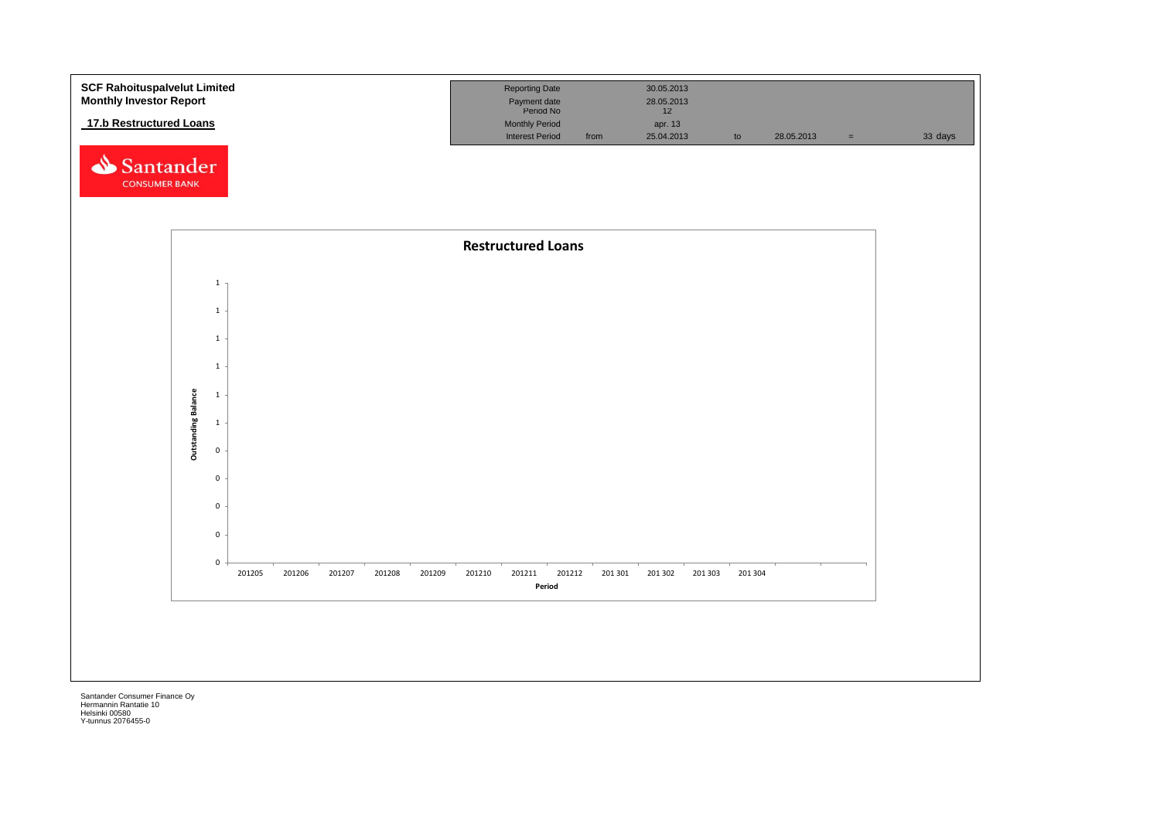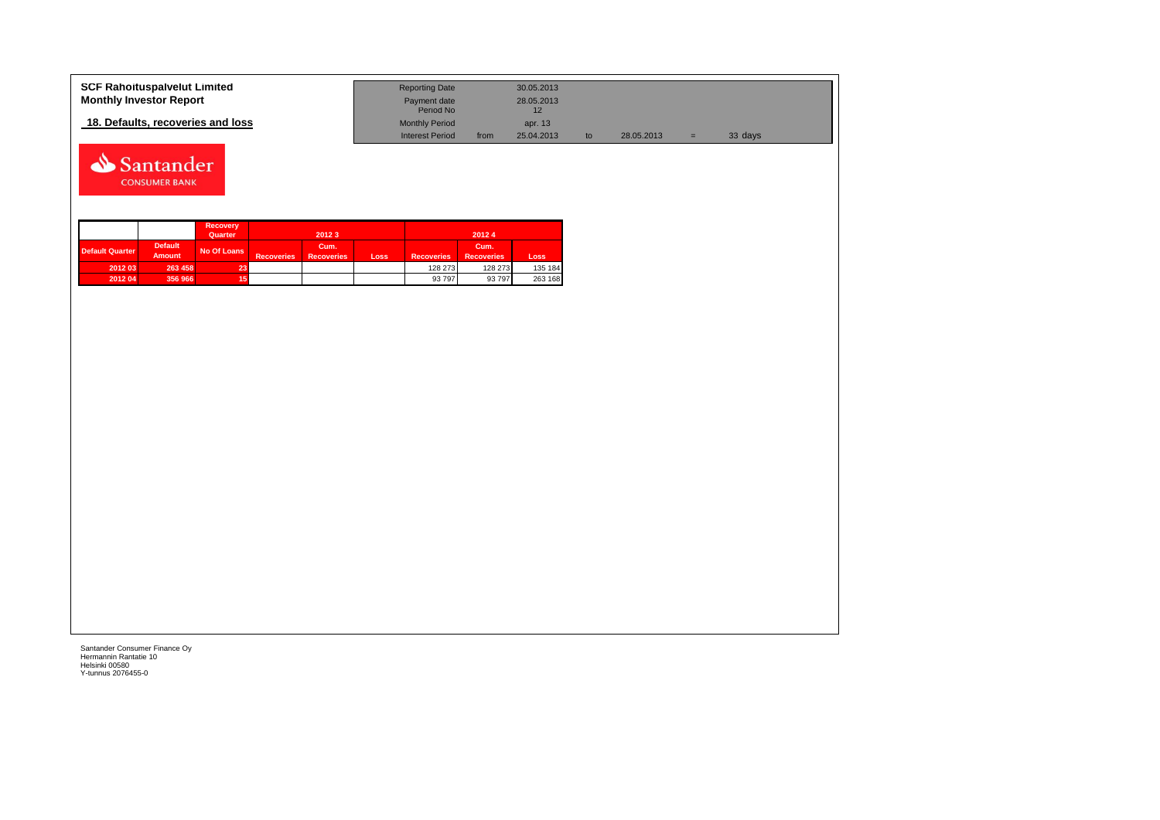| <b>SCF Rahoituspalvelut Limited</b> | <b>Reporting Date</b>     |      | 30.05.2013 |            |   |         |  |
|-------------------------------------|---------------------------|------|------------|------------|---|---------|--|
| <b>Monthly Investor Report</b>      | Payment date<br>Period No |      | 28.05.2013 |            |   |         |  |
| 18. Defaults, recoveries and loss   | <b>Monthly Period</b>     |      | apr. 13    |            |   |         |  |
|                                     | <b>Interest Period</b>    | from | 25.04.2013 | 28.05.2013 | = | 33 days |  |



|                 |                                 | <b>Recovery</b><br>Quarter |                   | 2012 3                    |      |                   | 20124                     |         |
|-----------------|---------------------------------|----------------------------|-------------------|---------------------------|------|-------------------|---------------------------|---------|
| Default Quarter | <b>Default</b><br><b>Amount</b> | No Of Loans                | <b>Recoveries</b> | Cum.<br><b>Recoveries</b> | Loss | <b>Recoveries</b> | Cum.<br><b>Recoveries</b> | Loss    |
| 2012 03         | 263 458                         | 23.                        |                   |                           |      | 128 273           | 128 273                   | 135 184 |
| 2012 04         | 356 966                         |                            |                   |                           |      | 93 797            | 93 797                    | 263 168 |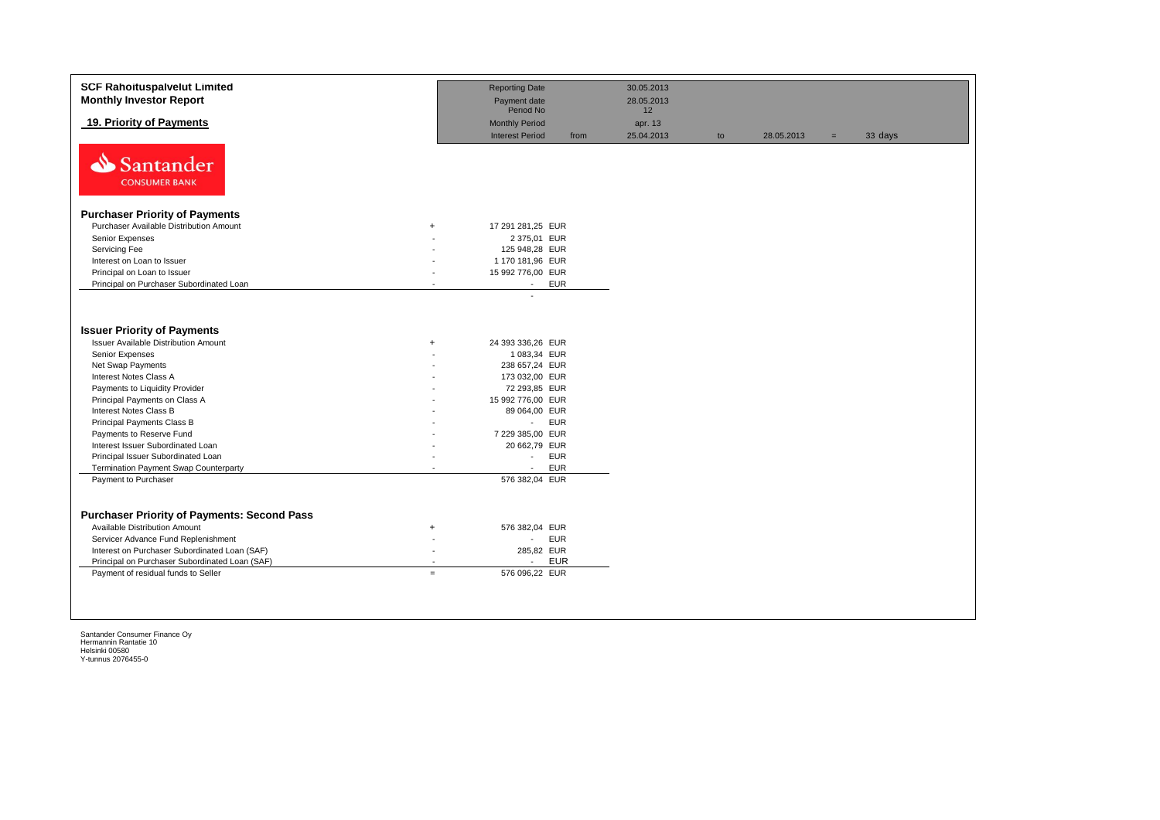| <b>SCF Rahoituspalvelut Limited</b><br><b>Monthly Investor Report</b>                                                                                                                                                                                                                                                                                                                 |                  | <b>Reporting Date</b><br>Payment date                                                                                                                                                                                | 30.05.2013<br>28.05.2013    |    |            |     |         |
|---------------------------------------------------------------------------------------------------------------------------------------------------------------------------------------------------------------------------------------------------------------------------------------------------------------------------------------------------------------------------------------|------------------|----------------------------------------------------------------------------------------------------------------------------------------------------------------------------------------------------------------------|-----------------------------|----|------------|-----|---------|
| 19. Priority of Payments                                                                                                                                                                                                                                                                                                                                                              |                  | Period No<br><b>Monthly Period</b><br><b>Interest Period</b><br>from                                                                                                                                                 | 12<br>apr. 13<br>25.04.2013 | to | 28.05.2013 | $=$ | 33 days |
| ⇘<br>Santander<br><b>CONSUMER BANK</b>                                                                                                                                                                                                                                                                                                                                                |                  |                                                                                                                                                                                                                      |                             |    |            |     |         |
| <b>Purchaser Priority of Payments</b>                                                                                                                                                                                                                                                                                                                                                 |                  |                                                                                                                                                                                                                      |                             |    |            |     |         |
| Purchaser Available Distribution Amount                                                                                                                                                                                                                                                                                                                                               | $+$              | 17 291 281,25 EUR                                                                                                                                                                                                    |                             |    |            |     |         |
| Senior Expenses                                                                                                                                                                                                                                                                                                                                                                       |                  | 2 375,01 EUR                                                                                                                                                                                                         |                             |    |            |     |         |
| Servicing Fee                                                                                                                                                                                                                                                                                                                                                                         |                  | 125 948,28 EUR                                                                                                                                                                                                       |                             |    |            |     |         |
| Interest on Loan to Issuer                                                                                                                                                                                                                                                                                                                                                            |                  | 1 170 181,96 EUR                                                                                                                                                                                                     |                             |    |            |     |         |
| Principal on Loan to Issuer                                                                                                                                                                                                                                                                                                                                                           |                  | 15 992 776,00 EUR                                                                                                                                                                                                    |                             |    |            |     |         |
| Principal on Purchaser Subordinated Loan                                                                                                                                                                                                                                                                                                                                              |                  | <b>EUR</b><br>$\sim$                                                                                                                                                                                                 |                             |    |            |     |         |
| <b>Issuer Priority of Payments</b><br><b>Issuer Available Distribution Amount</b><br>Senior Expenses<br>Net Swap Payments<br>Interest Notes Class A<br>Payments to Liquidity Provider<br>Principal Payments on Class A<br>Interest Notes Class B<br>Principal Payments Class B<br>Payments to Reserve Fund<br>Interest Issuer Subordinated Loan<br>Principal Issuer Subordinated Loan | $\ddot{}$        | 24 393 336,26 EUR<br>1 083,34 EUR<br>238 657,24 EUR<br>173 032,00 EUR<br>72 293,85 EUR<br>15 992 776,00 EUR<br>89 064,00 EUR<br><b>EUR</b><br>$\sim 10$<br>7 229 385,00 EUR<br>20 662,79 EUR<br><b>EUR</b><br>$\sim$ |                             |    |            |     |         |
| <b>Termination Payment Swap Counterparty</b>                                                                                                                                                                                                                                                                                                                                          |                  | <b>EUR</b><br>$\blacksquare$                                                                                                                                                                                         |                             |    |            |     |         |
| Payment to Purchaser                                                                                                                                                                                                                                                                                                                                                                  |                  | 576 382,04 EUR                                                                                                                                                                                                       |                             |    |            |     |         |
| <b>Purchaser Priority of Payments: Second Pass</b><br><b>Available Distribution Amount</b><br>Servicer Advance Fund Replenishment<br>Interest on Purchaser Subordinated Loan (SAF)<br>Principal on Purchaser Subordinated Loan (SAF)<br>Payment of residual funds to Seller                                                                                                           | $\ddot{}$<br>$=$ | 576 382,04 EUR<br><b>EUR</b><br>$\sim$<br>285,82 EUR<br><b>EUR</b><br>$\sim$<br>576 096,22 EUR                                                                                                                       |                             |    |            |     |         |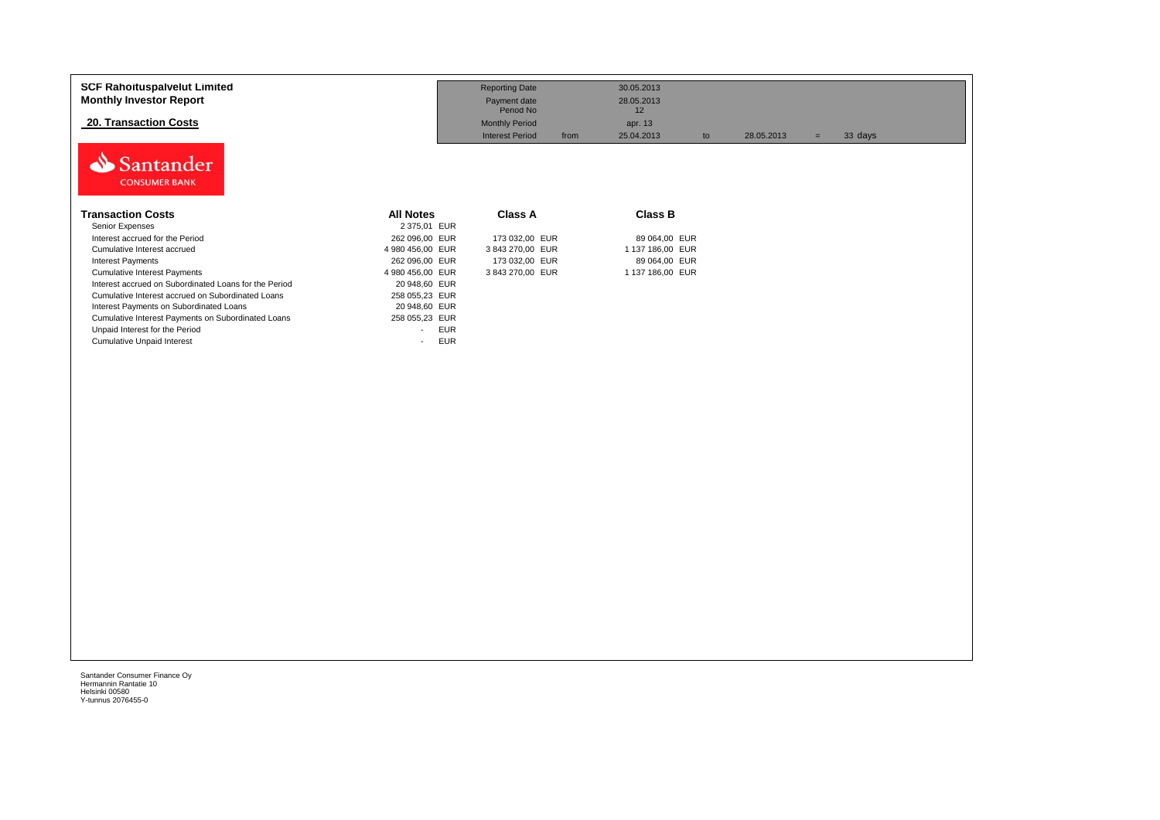| <b>SCF Rahoituspalvelut Limited</b><br><b>Monthly Investor Report</b> |                                        | <b>Reporting Date</b><br>Payment date | 30.05.2013<br>28.05.2013 |    |            |                |  |
|-----------------------------------------------------------------------|----------------------------------------|---------------------------------------|--------------------------|----|------------|----------------|--|
|                                                                       |                                        | Period No                             | 12                       |    |            |                |  |
| <b>20. Transaction Costs</b>                                          |                                        | <b>Monthly Period</b>                 | apr. 13                  |    |            |                |  |
|                                                                       |                                        | <b>Interest Period</b>                | 25.04.2013<br>from       | to | 28.05.2013 | 33 days<br>$=$ |  |
| Santander<br><b>CONSUMER BANK</b>                                     |                                        |                                       |                          |    |            |                |  |
| <b>Transaction Costs</b>                                              | <b>All Notes</b>                       | Class A                               | <b>Class B</b>           |    |            |                |  |
| Senior Expenses                                                       | 2 375,01 EUR                           |                                       |                          |    |            |                |  |
| Interest accrued for the Period                                       | 262 096,00 EUR                         | 173 032,00 EUR                        | 89 064,00 EUR            |    |            |                |  |
| Cumulative Interest accrued                                           | 4 980 456,00 EUR                       | 3843270,00 EUR                        | 1 137 186.00 EUR         |    |            |                |  |
| <b>Interest Payments</b>                                              | 262 096,00 EUR                         | 173 032,00 EUR                        | 89 064.00 EUR            |    |            |                |  |
| <b>Cumulative Interest Payments</b>                                   | 4 980 456,00 EUR                       | 3843270,00 EUR                        | 1 137 186,00 EUR         |    |            |                |  |
| Interest accrued on Subordinated Loans for the Period                 | 20 948,60 EUR                          |                                       |                          |    |            |                |  |
| Cumulative Interest accrued on Subordinated Loans                     | 258 055,23 EUR                         |                                       |                          |    |            |                |  |
| Interest Payments on Subordinated Loans                               | 20 948,60 EUR                          |                                       |                          |    |            |                |  |
| Cumulative Interest Payments on Subordinated Loans                    | 258 055,23 EUR                         |                                       |                          |    |            |                |  |
| Unpaid Interest for the Period                                        | <b>EUR</b><br>$\overline{\phantom{a}}$ |                                       |                          |    |            |                |  |
| <b>Cumulative Unpaid Interest</b>                                     | <b>EUR</b><br>$\overline{\phantom{a}}$ |                                       |                          |    |            |                |  |
|                                                                       |                                        |                                       |                          |    |            |                |  |
|                                                                       |                                        |                                       |                          |    |            |                |  |
|                                                                       |                                        |                                       |                          |    |            |                |  |
|                                                                       |                                        |                                       |                          |    |            |                |  |
|                                                                       |                                        |                                       |                          |    |            |                |  |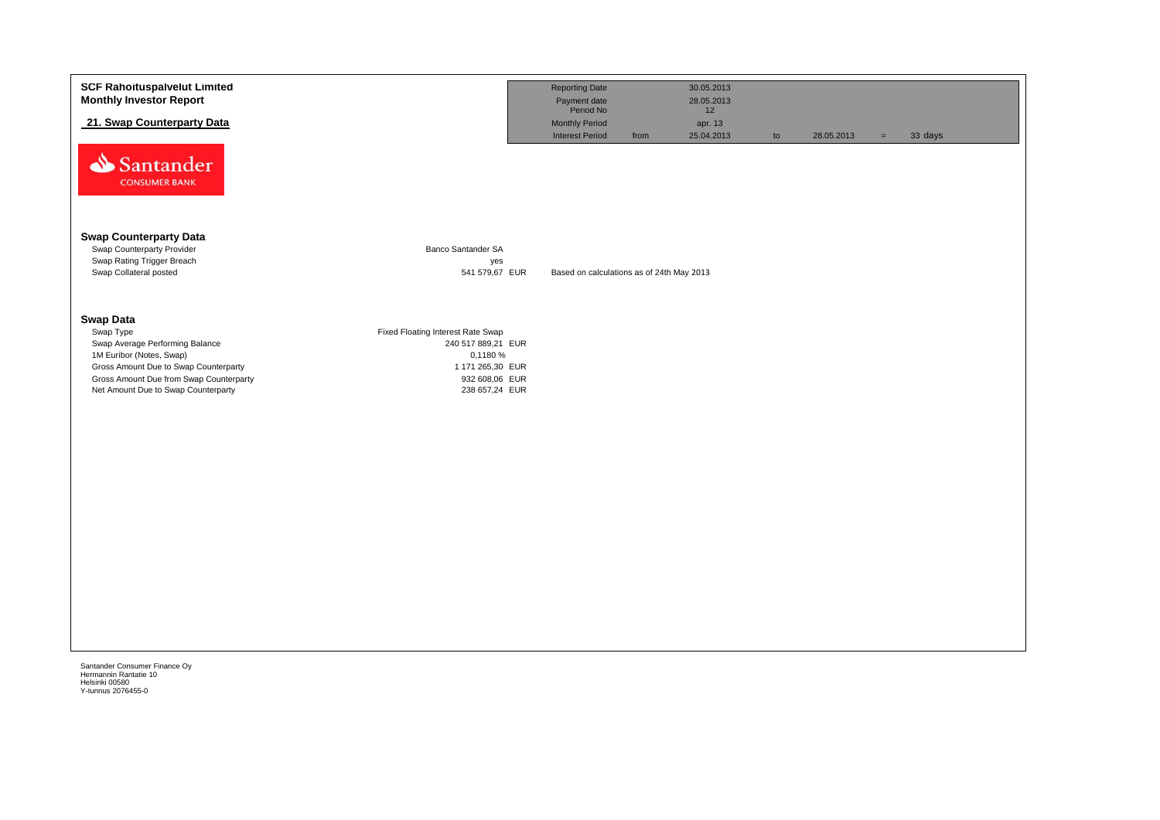| <b>SCF Rahoituspalvelut Limited</b><br><b>Monthly Investor Report</b><br>21. Swap Counterparty Data                                                                                                                     |                                                                                                                             | <b>Reporting Date</b><br>Payment date<br>Period No<br><b>Monthly Period</b><br><b>Interest Period</b><br>from | 30.05.2013<br>28.05.2013<br>12<br>apr. 13<br>25.04.2013 | to | 28.05.2013 | $=$ | 33 days |
|-------------------------------------------------------------------------------------------------------------------------------------------------------------------------------------------------------------------------|-----------------------------------------------------------------------------------------------------------------------------|---------------------------------------------------------------------------------------------------------------|---------------------------------------------------------|----|------------|-----|---------|
| Santander<br><b>CONSUMER BANK</b>                                                                                                                                                                                       |                                                                                                                             |                                                                                                               |                                                         |    |            |     |         |
| <b>Swap Counterparty Data</b><br>Swap Counterparty Provider<br>Swap Rating Trigger Breach<br>Swap Collateral posted                                                                                                     | Banco Santander SA<br>yes<br>541 579,67 EUR                                                                                 | Based on calculations as of 24th May 2013                                                                     |                                                         |    |            |     |         |
| <b>Swap Data</b><br>Swap Type<br>Swap Average Performing Balance<br>1M Euribor (Notes, Swap)<br>Gross Amount Due to Swap Counterparty<br>Gross Amount Due from Swap Counterparty<br>Net Amount Due to Swap Counterparty | Fixed Floating Interest Rate Swap<br>240 517 889,21 EUR<br>0,1180 %<br>1 171 265,30 EUR<br>932 608,06 EUR<br>238 657,24 EUR |                                                                                                               |                                                         |    |            |     |         |
|                                                                                                                                                                                                                         |                                                                                                                             |                                                                                                               |                                                         |    |            |     |         |
|                                                                                                                                                                                                                         |                                                                                                                             |                                                                                                               |                                                         |    |            |     |         |
| Santander Consumer Finance Oy                                                                                                                                                                                           |                                                                                                                             |                                                                                                               |                                                         |    |            |     |         |